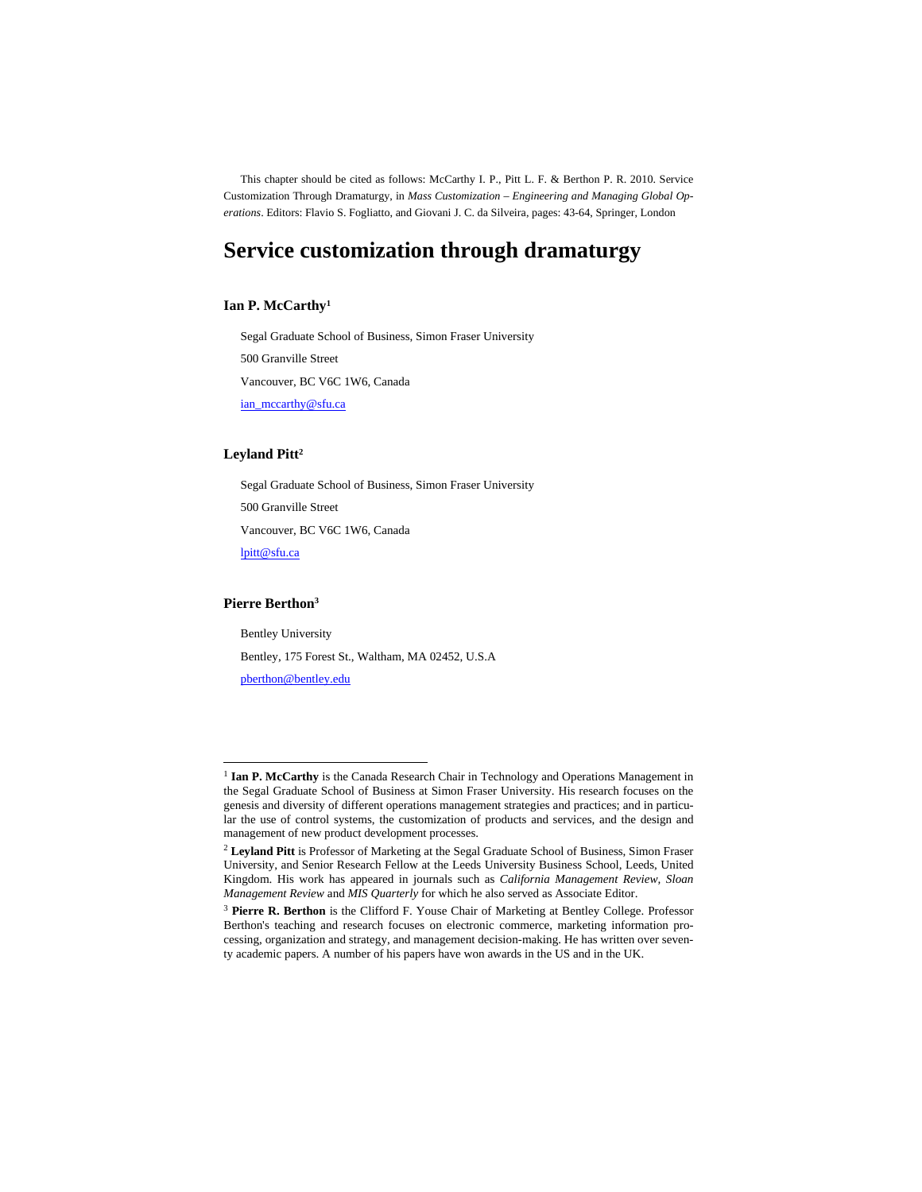This chapter should be cited as follows: McCarthy I. P., Pitt L. F. & Berthon P. R. 2010. Service Customization Through Dramaturgy, in *Mass Customization – Engineering and Managing Global Operations*. Editors: Flavio S. Fogliatto, and Giovani J. C. da Silveira, pages: 43-64, Springer, London

# **Service customization through dramaturgy**

#### **Ian P. McCarthy1**

Segal Graduate School of Business, Simon Fraser University 500 Granville Street Vancouver, BC V6C 1W6, Canada ian\_mccarthy@sfu.ca

#### Leyland Pitt<sup>2</sup>

Segal Graduate School of Business, Simon Fraser University 500 Granville Street Vancouver, BC V6C 1W6, Canada lpitt@sfu.ca

#### **Pierre Berthon3**

l

Bentley University Bentley, 175 Forest St., Waltham, MA 02452, U.S.A pberthon@bentley.edu

<sup>&</sup>lt;sup>1</sup> Ian P. McCarthy is the Canada Research Chair in Technology and Operations Management in the Segal Graduate School of Business at Simon Fraser University. His research focuses on the genesis and diversity of different operations management strategies and practices; and in particular the use of control systems, the customization of products and services, and the design and management of new product development processes.

<sup>2</sup> **Leyland Pitt** is Professor of Marketing at the Segal Graduate School of Business, Simon Fraser University, and Senior Research Fellow at the Leeds University Business School, Leeds, United Kingdom. His work has appeared in journals such as *California Management Review, Sloan Management Review* and *MIS Quarterly* for which he also served as Associate Editor.

<sup>3</sup> **Pierre R. Berthon** is the Clifford F. Youse Chair of Marketing at Bentley College. Professor Berthon's teaching and research focuses on electronic commerce, marketing information processing, organization and strategy, and management decision-making. He has written over seventy academic papers. A number of his papers have won awards in the US and in the UK.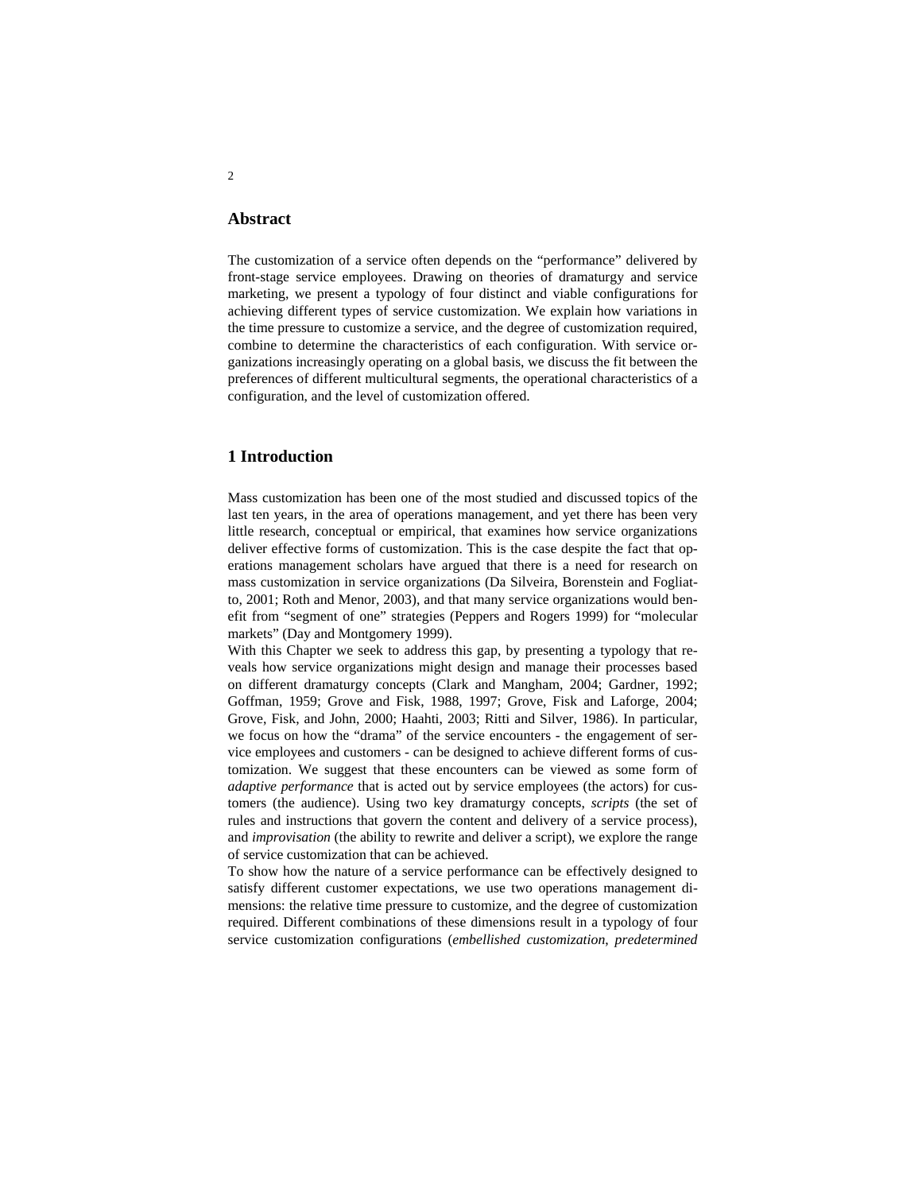#### **Abstract**

The customization of a service often depends on the "performance" delivered by front-stage service employees. Drawing on theories of dramaturgy and service marketing, we present a typology of four distinct and viable configurations for achieving different types of service customization. We explain how variations in the time pressure to customize a service, and the degree of customization required, combine to determine the characteristics of each configuration. With service organizations increasingly operating on a global basis, we discuss the fit between the preferences of different multicultural segments, the operational characteristics of a configuration, and the level of customization offered.

### **1 Introduction**

Mass customization has been one of the most studied and discussed topics of the last ten years, in the area of operations management, and yet there has been very little research, conceptual or empirical, that examines how service organizations deliver effective forms of customization. This is the case despite the fact that operations management scholars have argued that there is a need for research on mass customization in service organizations (Da Silveira, Borenstein and Fogliatto, 2001; Roth and Menor, 2003), and that many service organizations would benefit from "segment of one" strategies (Peppers and Rogers 1999) for "molecular markets" (Day and Montgomery 1999).

With this Chapter we seek to address this gap, by presenting a typology that reveals how service organizations might design and manage their processes based on different dramaturgy concepts (Clark and Mangham, 2004; Gardner, 1992; Goffman, 1959; Grove and Fisk, 1988, 1997; Grove, Fisk and Laforge, 2004; Grove, Fisk, and John, 2000; Haahti, 2003; Ritti and Silver, 1986). In particular, we focus on how the "drama" of the service encounters - the engagement of service employees and customers - can be designed to achieve different forms of customization. We suggest that these encounters can be viewed as some form of *adaptive performance* that is acted out by service employees (the actors) for customers (the audience). Using two key dramaturgy concepts, *scripts* (the set of rules and instructions that govern the content and delivery of a service process), and *improvisation* (the ability to rewrite and deliver a script), we explore the range of service customization that can be achieved.

To show how the nature of a service performance can be effectively designed to satisfy different customer expectations, we use two operations management dimensions: the relative time pressure to customize, and the degree of customization required. Different combinations of these dimensions result in a typology of four service customization configurations (*embellished customization*, *predetermined* 

 $\mathfrak{Z}$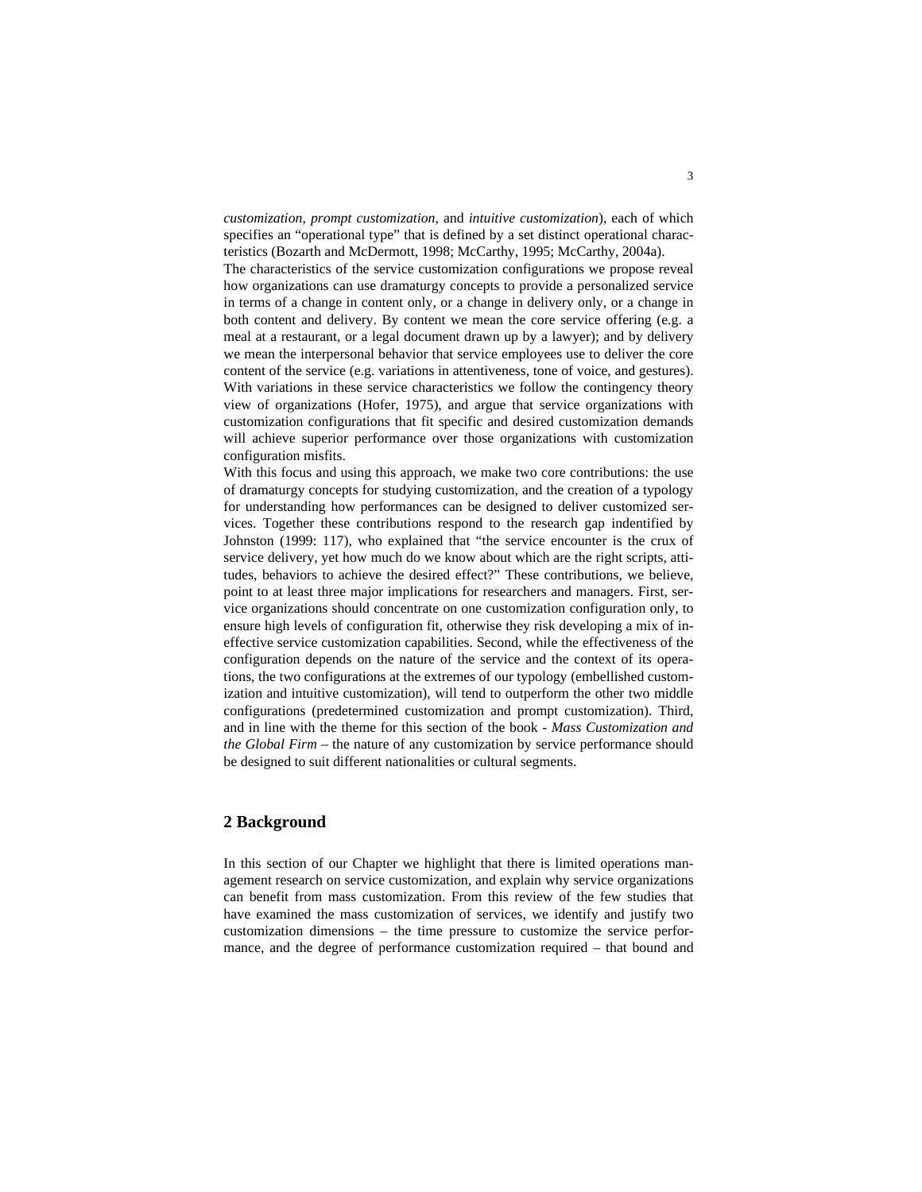*customization*, *prompt customization*, and *intuitive customization*), each of which specifies an "operational type" that is defined by a set distinct operational characteristics (Bozarth and McDermott, 1998; McCarthy, 1995; McCarthy, 2004a).

The characteristics of the service customization configurations we propose reveal how organizations can use dramaturgy concepts to provide a personalized service in terms of a change in content only, or a change in delivery only, or a change in both content and delivery. By content we mean the core service offering (e.g. a meal at a restaurant, or a legal document drawn up by a lawyer); and by delivery we mean the interpersonal behavior that service employees use to deliver the core content of the service (e.g. variations in attentiveness, tone of voice, and gestures). With variations in these service characteristics we follow the contingency theory view of organizations (Hofer, 1975), and argue that service organizations with customization configurations that fit specific and desired customization demands will achieve superior performance over those organizations with customization configuration misfits.

With this focus and using this approach, we make two core contributions: the use of dramaturgy concepts for studying customization, and the creation of a typology for understanding how performances can be designed to deliver customized services. Together these contributions respond to the research gap indentified by Johnston (1999: 117), who explained that "the service encounter is the crux of service delivery, yet how much do we know about which are the right scripts, attitudes, behaviors to achieve the desired effect?" These contributions, we believe, point to at least three major implications for researchers and managers. First, service organizations should concentrate on one customization configuration only, to ensure high levels of configuration fit, otherwise they risk developing a mix of ineffective service customization capabilities. Second, while the effectiveness of the configuration depends on the nature of the service and the context of its operations, the two configurations at the extremes of our typology (embellished customization and intuitive customization), will tend to outperform the other two middle configurations (predetermined customization and prompt customization). Third, and in line with the theme for this section of the book - *Mass Customization and the Global Firm* – the nature of any customization by service performance should be designed to suit different nationalities or cultural segments.

## **2 Background**

In this section of our Chapter we highlight that there is limited operations management research on service customization, and explain why service organizations can benefit from mass customization. From this review of the few studies that have examined the mass customization of services, we identify and justify two customization dimensions – the time pressure to customize the service performance, and the degree of performance customization required – that bound and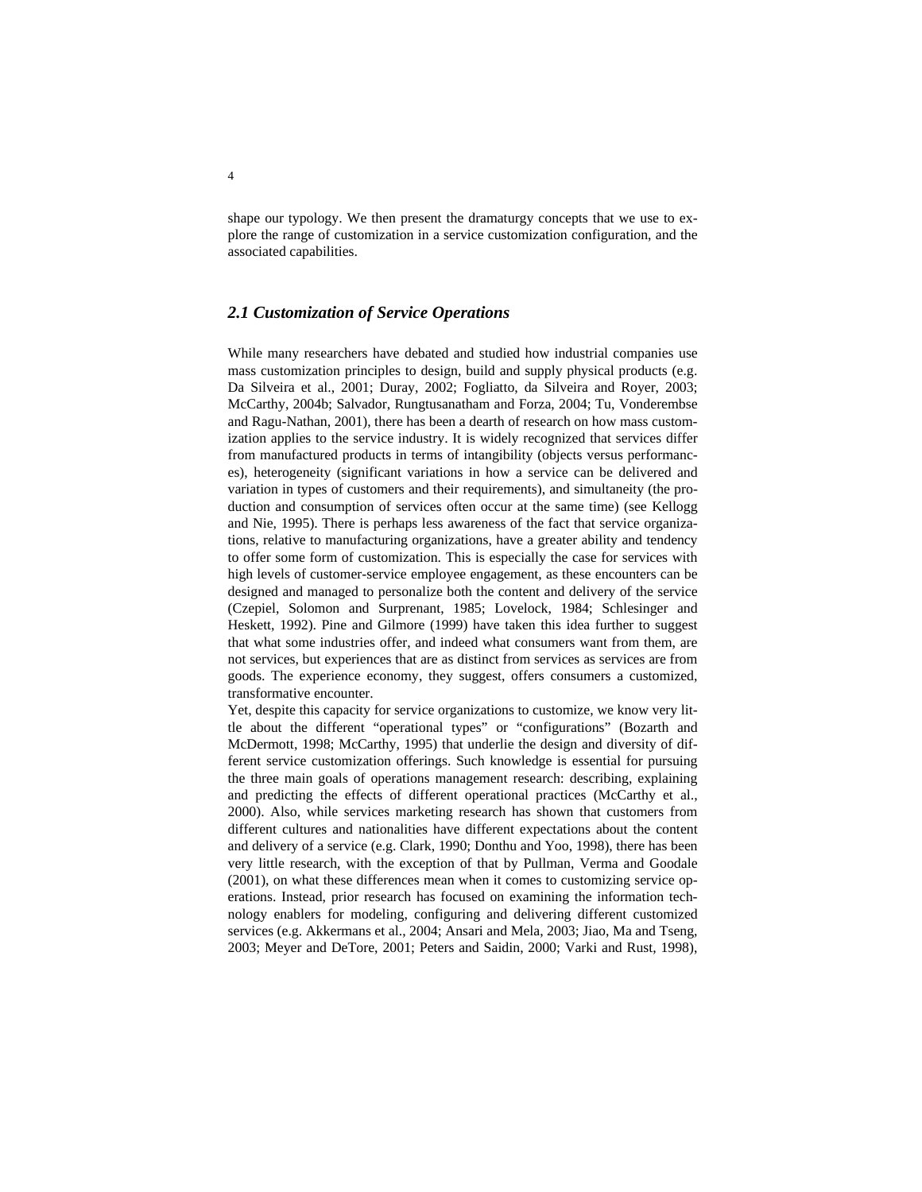shape our typology. We then present the dramaturgy concepts that we use to explore the range of customization in a service customization configuration, and the associated capabilities.

#### *2.1 Customization of Service Operations*

While many researchers have debated and studied how industrial companies use mass customization principles to design, build and supply physical products (e.g. Da Silveira et al., 2001; Duray, 2002; Fogliatto, da Silveira and Royer, 2003; McCarthy, 2004b; Salvador, Rungtusanatham and Forza, 2004; Tu, Vonderembse and Ragu-Nathan, 2001), there has been a dearth of research on how mass customization applies to the service industry. It is widely recognized that services differ from manufactured products in terms of intangibility (objects versus performances), heterogeneity (significant variations in how a service can be delivered and variation in types of customers and their requirements), and simultaneity (the production and consumption of services often occur at the same time) (see Kellogg and Nie, 1995). There is perhaps less awareness of the fact that service organizations, relative to manufacturing organizations, have a greater ability and tendency to offer some form of customization. This is especially the case for services with high levels of customer-service employee engagement, as these encounters can be designed and managed to personalize both the content and delivery of the service (Czepiel, Solomon and Surprenant, 1985; Lovelock, 1984; Schlesinger and Heskett, 1992). Pine and Gilmore (1999) have taken this idea further to suggest that what some industries offer, and indeed what consumers want from them, are not services, but experiences that are as distinct from services as services are from goods. The experience economy, they suggest, offers consumers a customized, transformative encounter.

Yet, despite this capacity for service organizations to customize, we know very little about the different "operational types" or "configurations" (Bozarth and McDermott, 1998; McCarthy, 1995) that underlie the design and diversity of different service customization offerings. Such knowledge is essential for pursuing the three main goals of operations management research: describing, explaining and predicting the effects of different operational practices (McCarthy et al., 2000). Also, while services marketing research has shown that customers from different cultures and nationalities have different expectations about the content and delivery of a service (e.g. Clark, 1990; Donthu and Yoo, 1998), there has been very little research, with the exception of that by Pullman, Verma and Goodale (2001), on what these differences mean when it comes to customizing service operations. Instead, prior research has focused on examining the information technology enablers for modeling, configuring and delivering different customized services (e.g. Akkermans et al., 2004; Ansari and Mela, 2003; Jiao, Ma and Tseng, 2003; Meyer and DeTore, 2001; Peters and Saidin, 2000; Varki and Rust, 1998),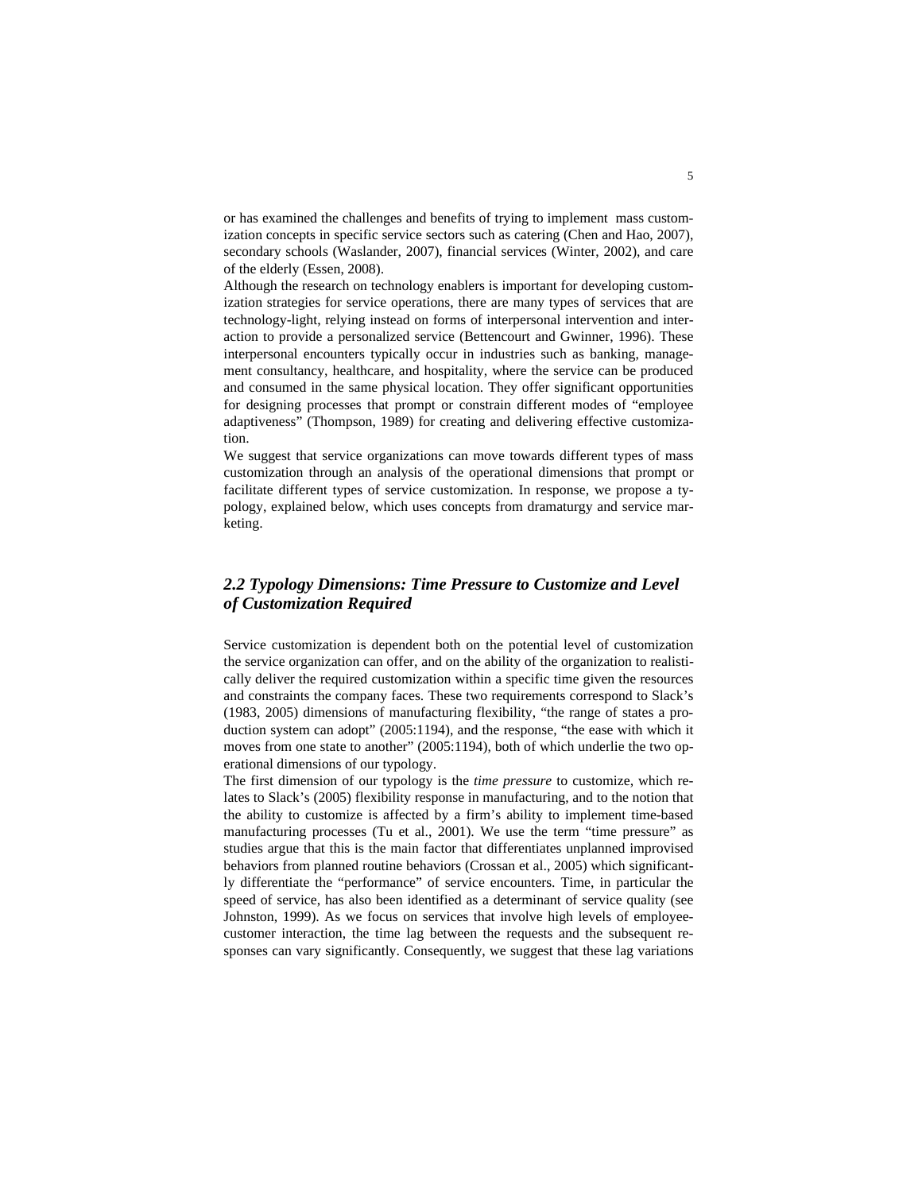or has examined the challenges and benefits of trying to implement mass customization concepts in specific service sectors such as catering (Chen and Hao, 2007), secondary schools (Waslander, 2007), financial services (Winter, 2002), and care of the elderly (Essen, 2008).

Although the research on technology enablers is important for developing customization strategies for service operations, there are many types of services that are technology-light, relying instead on forms of interpersonal intervention and interaction to provide a personalized service (Bettencourt and Gwinner, 1996). These interpersonal encounters typically occur in industries such as banking, management consultancy, healthcare, and hospitality, where the service can be produced and consumed in the same physical location. They offer significant opportunities for designing processes that prompt or constrain different modes of "employee adaptiveness" (Thompson, 1989) for creating and delivering effective customization.

We suggest that service organizations can move towards different types of mass customization through an analysis of the operational dimensions that prompt or facilitate different types of service customization. In response, we propose a typology, explained below, which uses concepts from dramaturgy and service marketing.

# *2.2 Typology Dimensions: Time Pressure to Customize and Level of Customization Required*

Service customization is dependent both on the potential level of customization the service organization can offer, and on the ability of the organization to realistically deliver the required customization within a specific time given the resources and constraints the company faces. These two requirements correspond to Slack's (1983, 2005) dimensions of manufacturing flexibility, "the range of states a production system can adopt" (2005:1194), and the response, "the ease with which it moves from one state to another" (2005:1194), both of which underlie the two operational dimensions of our typology.

The first dimension of our typology is the *time pressure* to customize, which relates to Slack's (2005) flexibility response in manufacturing, and to the notion that the ability to customize is affected by a firm's ability to implement time-based manufacturing processes (Tu et al., 2001). We use the term "time pressure" as studies argue that this is the main factor that differentiates unplanned improvised behaviors from planned routine behaviors (Crossan et al., 2005) which significantly differentiate the "performance" of service encounters. Time, in particular the speed of service, has also been identified as a determinant of service quality (see Johnston, 1999). As we focus on services that involve high levels of employeecustomer interaction, the time lag between the requests and the subsequent responses can vary significantly. Consequently, we suggest that these lag variations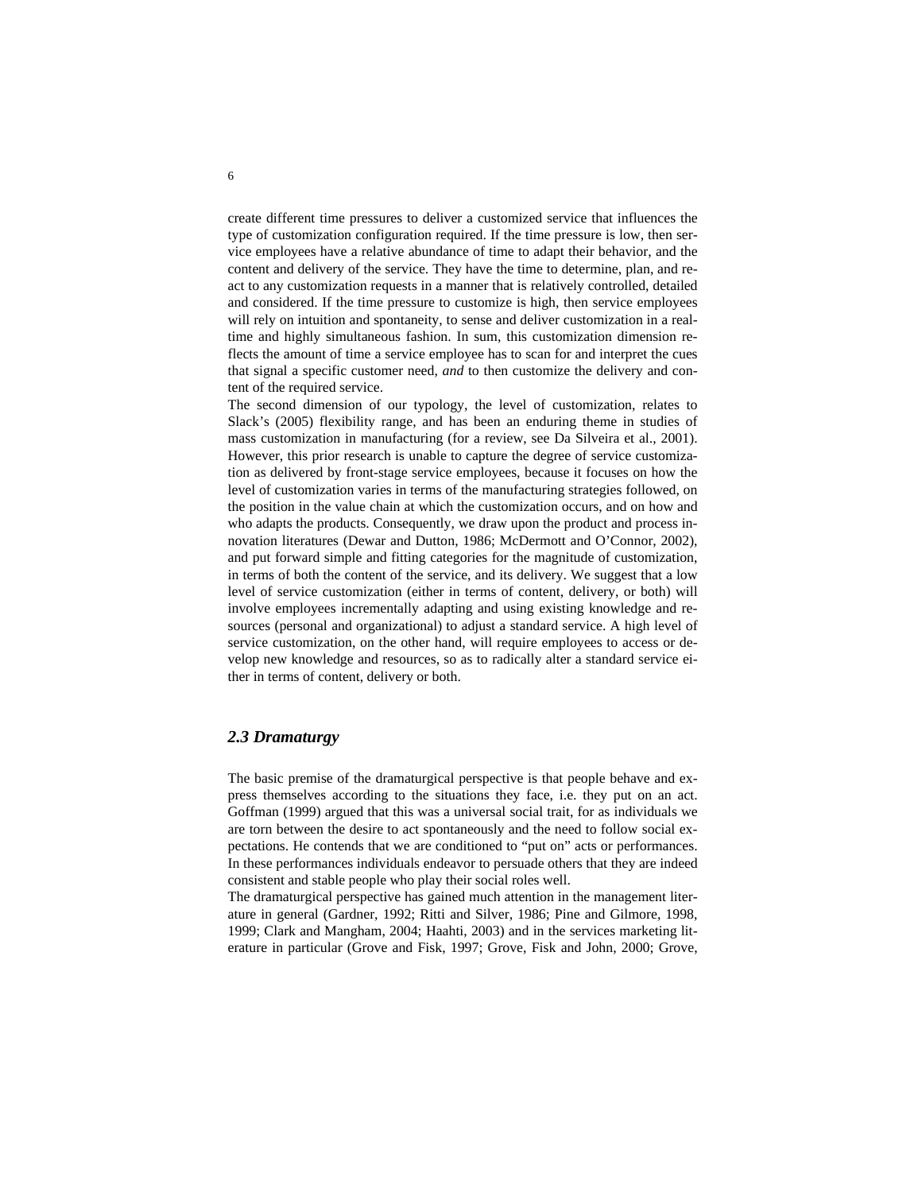create different time pressures to deliver a customized service that influences the type of customization configuration required. If the time pressure is low, then service employees have a relative abundance of time to adapt their behavior, and the content and delivery of the service. They have the time to determine, plan, and react to any customization requests in a manner that is relatively controlled, detailed and considered. If the time pressure to customize is high, then service employees will rely on intuition and spontaneity, to sense and deliver customization in a realtime and highly simultaneous fashion. In sum, this customization dimension reflects the amount of time a service employee has to scan for and interpret the cues that signal a specific customer need, *and* to then customize the delivery and content of the required service.

The second dimension of our typology, the level of customization, relates to Slack's (2005) flexibility range, and has been an enduring theme in studies of mass customization in manufacturing (for a review, see Da Silveira et al., 2001). However, this prior research is unable to capture the degree of service customization as delivered by front-stage service employees, because it focuses on how the level of customization varies in terms of the manufacturing strategies followed, on the position in the value chain at which the customization occurs, and on how and who adapts the products. Consequently, we draw upon the product and process innovation literatures (Dewar and Dutton, 1986; McDermott and O'Connor, 2002), and put forward simple and fitting categories for the magnitude of customization, in terms of both the content of the service, and its delivery. We suggest that a low level of service customization (either in terms of content, delivery, or both) will involve employees incrementally adapting and using existing knowledge and resources (personal and organizational) to adjust a standard service. A high level of service customization, on the other hand, will require employees to access or develop new knowledge and resources, so as to radically alter a standard service either in terms of content, delivery or both.

## *2.3 Dramaturgy*

The basic premise of the dramaturgical perspective is that people behave and express themselves according to the situations they face, i.e. they put on an act. Goffman (1999) argued that this was a universal social trait, for as individuals we are torn between the desire to act spontaneously and the need to follow social expectations. He contends that we are conditioned to "put on" acts or performances. In these performances individuals endeavor to persuade others that they are indeed consistent and stable people who play their social roles well.

The dramaturgical perspective has gained much attention in the management literature in general (Gardner, 1992; Ritti and Silver, 1986; Pine and Gilmore, 1998, 1999; Clark and Mangham, 2004; Haahti, 2003) and in the services marketing literature in particular (Grove and Fisk, 1997; Grove, Fisk and John, 2000; Grove,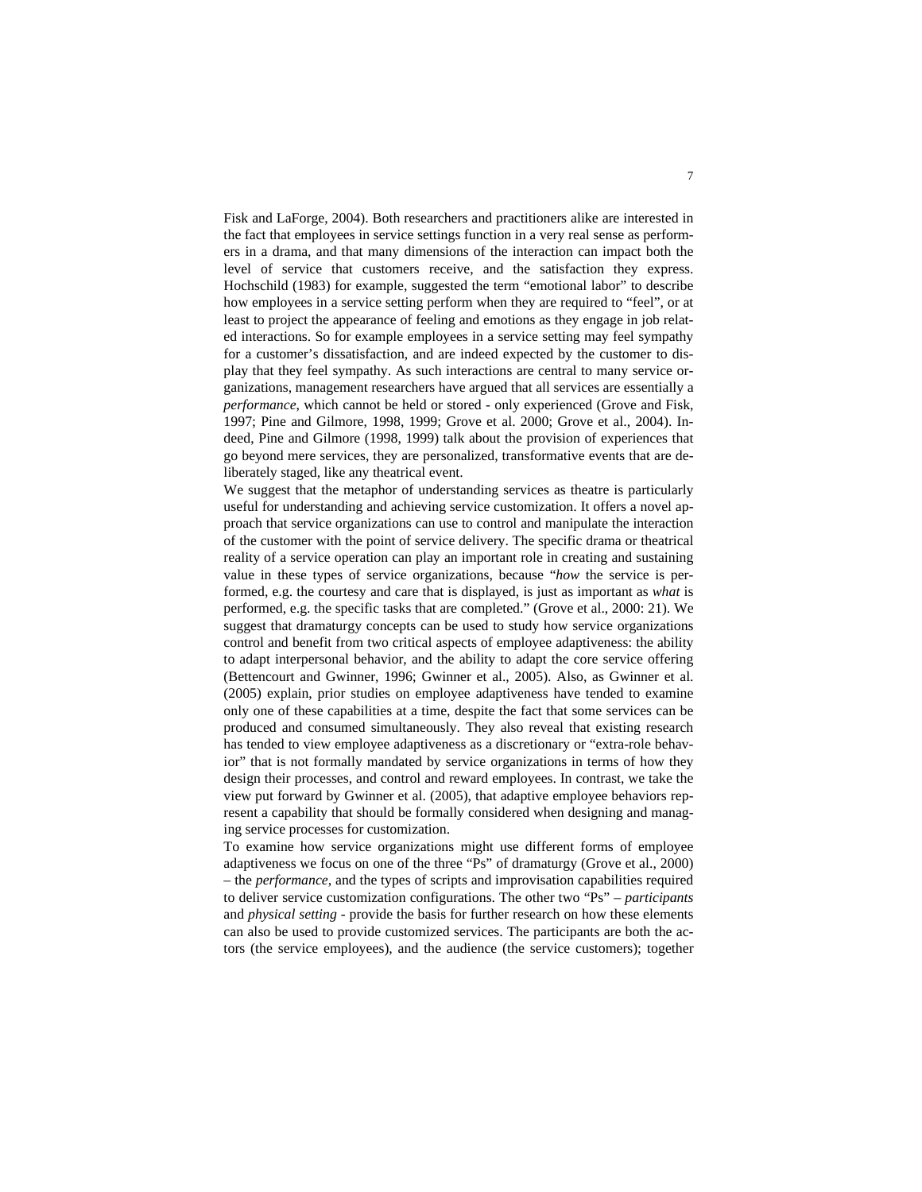Fisk and LaForge, 2004). Both researchers and practitioners alike are interested in the fact that employees in service settings function in a very real sense as performers in a drama, and that many dimensions of the interaction can impact both the level of service that customers receive, and the satisfaction they express. Hochschild (1983) for example, suggested the term "emotional labor" to describe how employees in a service setting perform when they are required to "feel", or at least to project the appearance of feeling and emotions as they engage in job related interactions. So for example employees in a service setting may feel sympathy for a customer's dissatisfaction, and are indeed expected by the customer to display that they feel sympathy. As such interactions are central to many service organizations, management researchers have argued that all services are essentially a *performance*, which cannot be held or stored - only experienced (Grove and Fisk, 1997; Pine and Gilmore, 1998, 1999; Grove et al. 2000; Grove et al., 2004). Indeed, Pine and Gilmore (1998, 1999) talk about the provision of experiences that go beyond mere services, they are personalized, transformative events that are deliberately staged, like any theatrical event.

We suggest that the metaphor of understanding services as theatre is particularly useful for understanding and achieving service customization. It offers a novel approach that service organizations can use to control and manipulate the interaction of the customer with the point of service delivery. The specific drama or theatrical reality of a service operation can play an important role in creating and sustaining value in these types of service organizations, because "*how* the service is performed, e.g. the courtesy and care that is displayed, is just as important as *what* is performed, e.g. the specific tasks that are completed." (Grove et al., 2000: 21). We suggest that dramaturgy concepts can be used to study how service organizations control and benefit from two critical aspects of employee adaptiveness: the ability to adapt interpersonal behavior, and the ability to adapt the core service offering (Bettencourt and Gwinner, 1996; Gwinner et al., 2005). Also, as Gwinner et al. (2005) explain, prior studies on employee adaptiveness have tended to examine only one of these capabilities at a time, despite the fact that some services can be produced and consumed simultaneously. They also reveal that existing research has tended to view employee adaptiveness as a discretionary or "extra-role behavior" that is not formally mandated by service organizations in terms of how they design their processes, and control and reward employees. In contrast, we take the view put forward by Gwinner et al. (2005), that adaptive employee behaviors represent a capability that should be formally considered when designing and managing service processes for customization.

To examine how service organizations might use different forms of employee adaptiveness we focus on one of the three "Ps" of dramaturgy (Grove et al., 2000) *–* the *performance*, and the types of scripts and improvisation capabilities required to deliver service customization configurations. The other two "Ps" – *participants* and *physical setting* - provide the basis for further research on how these elements can also be used to provide customized services. The participants are both the actors (the service employees), and the audience (the service customers); together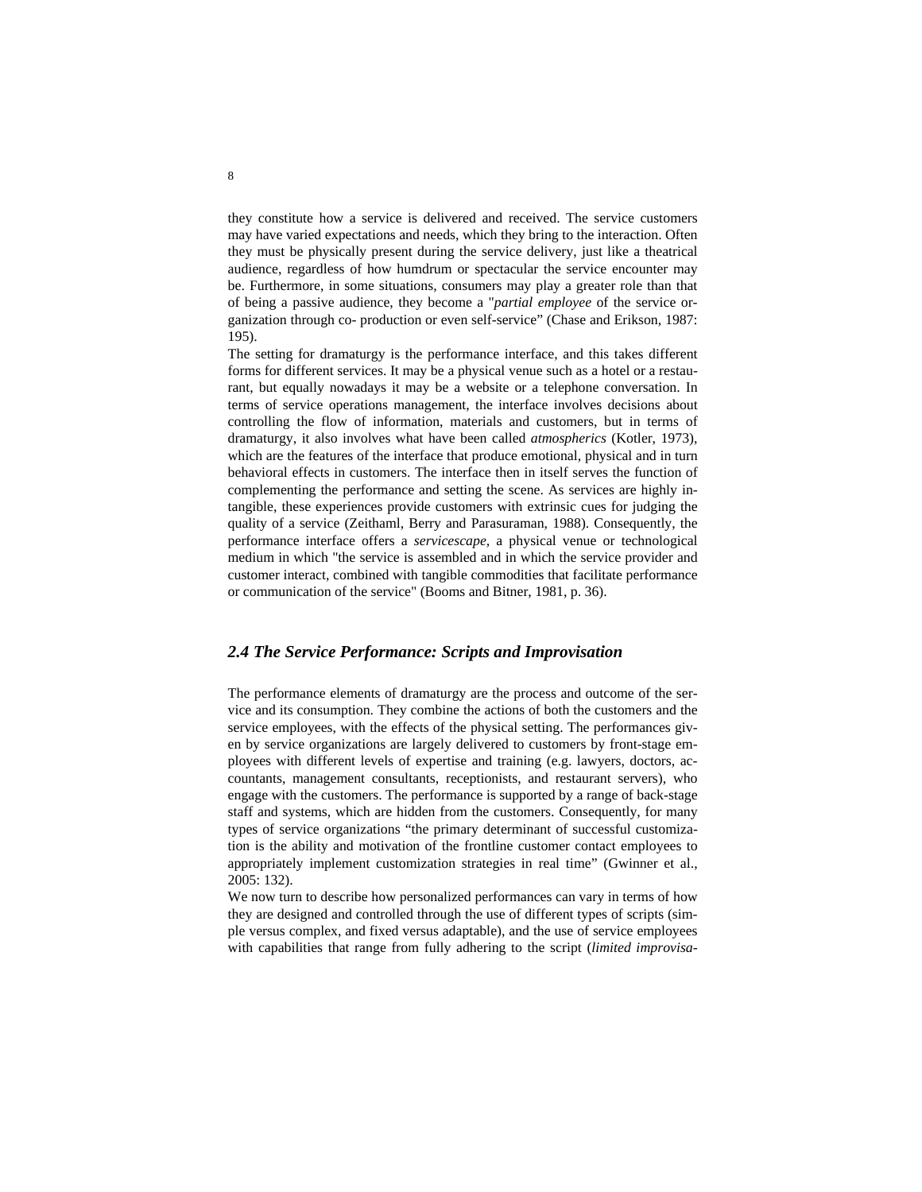they constitute how a service is delivered and received. The service customers may have varied expectations and needs, which they bring to the interaction. Often they must be physically present during the service delivery, just like a theatrical audience, regardless of how humdrum or spectacular the service encounter may be. Furthermore, in some situations, consumers may play a greater role than that of being a passive audience, they become a "*partial employee* of the service organization through co- production or even self-service" (Chase and Erikson, 1987: 195).

The setting for dramaturgy is the performance interface, and this takes different forms for different services. It may be a physical venue such as a hotel or a restaurant, but equally nowadays it may be a website or a telephone conversation. In terms of service operations management, the interface involves decisions about controlling the flow of information, materials and customers, but in terms of dramaturgy, it also involves what have been called *atmospherics* (Kotler, 1973), which are the features of the interface that produce emotional, physical and in turn behavioral effects in customers. The interface then in itself serves the function of complementing the performance and setting the scene. As services are highly intangible, these experiences provide customers with extrinsic cues for judging the quality of a service (Zeithaml, Berry and Parasuraman, 1988). Consequently, the performance interface offers a *servicescape,* a physical venue or technological medium in which "the service is assembled and in which the service provider and customer interact, combined with tangible commodities that facilitate performance or communication of the service" (Booms and Bitner, 1981, p. 36).

## *2.4 The Service Performance: Scripts and Improvisation*

The performance elements of dramaturgy are the process and outcome of the service and its consumption. They combine the actions of both the customers and the service employees, with the effects of the physical setting. The performances given by service organizations are largely delivered to customers by front-stage employees with different levels of expertise and training (e.g. lawyers, doctors, accountants, management consultants, receptionists, and restaurant servers), who engage with the customers. The performance is supported by a range of back-stage staff and systems, which are hidden from the customers. Consequently, for many types of service organizations "the primary determinant of successful customization is the ability and motivation of the frontline customer contact employees to appropriately implement customization strategies in real time" (Gwinner et al., 2005: 132).

We now turn to describe how personalized performances can vary in terms of how they are designed and controlled through the use of different types of scripts (simple versus complex, and fixed versus adaptable), and the use of service employees with capabilities that range from fully adhering to the script (*limited improvisa-*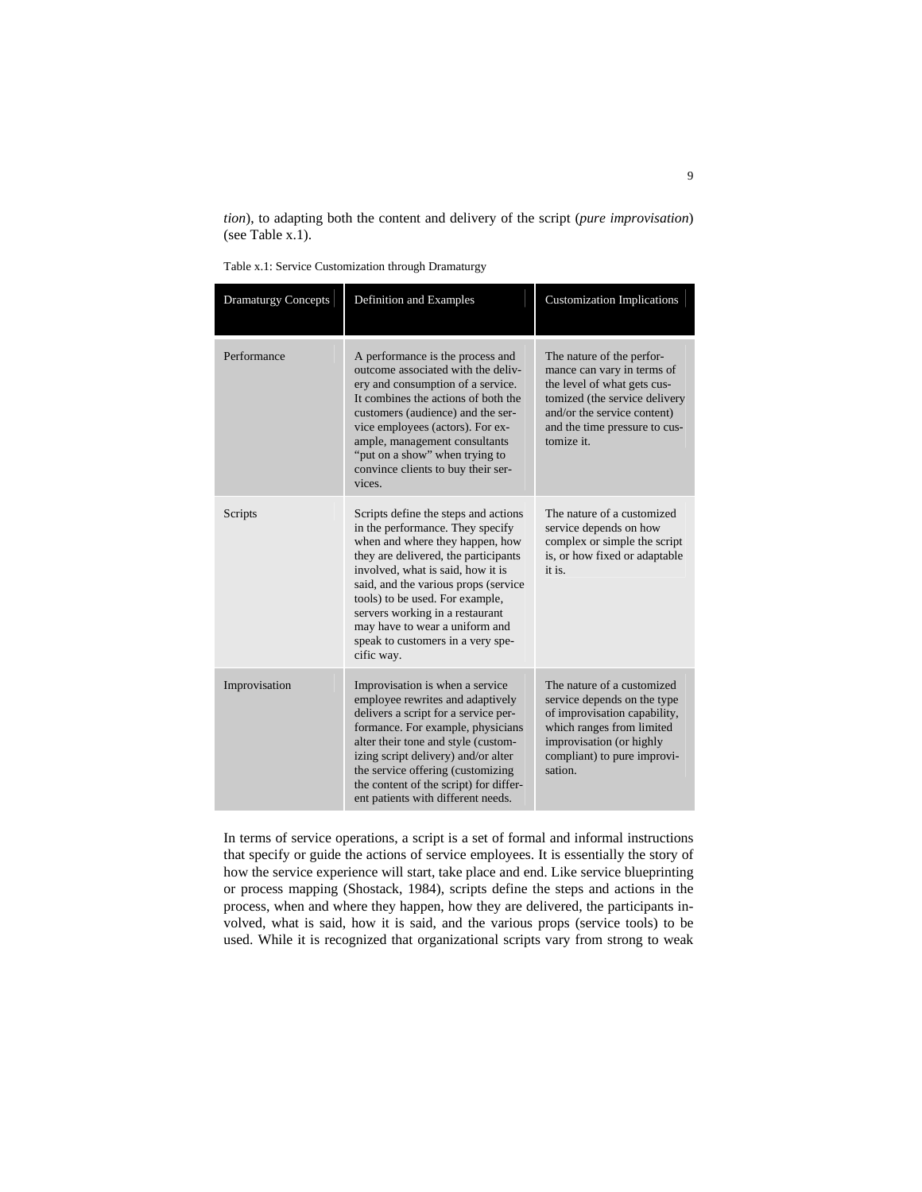*tion*), to adapting both the content and delivery of the script (*pure improvisation*) (see Table x.1).

Table x.1: Service Customization through Dramaturgy

| <b>Dramaturgy Concepts</b> | Definition and Examples                                                                                                                                                                                                                                                                                                                                                                     | <b>Customization Implications</b>                                                                                                                                                                     |
|----------------------------|---------------------------------------------------------------------------------------------------------------------------------------------------------------------------------------------------------------------------------------------------------------------------------------------------------------------------------------------------------------------------------------------|-------------------------------------------------------------------------------------------------------------------------------------------------------------------------------------------------------|
| Performance                | A performance is the process and<br>outcome associated with the deliv-<br>ery and consumption of a service.<br>It combines the actions of both the<br>customers (audience) and the ser-<br>vice employees (actors). For ex-<br>ample, management consultants<br>"put on a show" when trying to<br>convince clients to buy their ser-<br>vices.                                              | The nature of the perfor-<br>mance can vary in terms of<br>the level of what gets cus-<br>tomized (the service delivery<br>and/or the service content)<br>and the time pressure to cus-<br>tomize it. |
| Scripts                    | Scripts define the steps and actions<br>in the performance. They specify<br>when and where they happen, how<br>they are delivered, the participants<br>involved, what is said, how it is<br>said, and the various props (service<br>tools) to be used. For example,<br>servers working in a restaurant<br>may have to wear a uniform and<br>speak to customers in a very spe-<br>cific way. | The nature of a customized<br>service depends on how<br>complex or simple the script<br>is, or how fixed or adaptable<br>it is.                                                                       |
| Improvisation              | Improvisation is when a service<br>employee rewrites and adaptively<br>delivers a script for a service per-<br>formance. For example, physicians<br>alter their tone and style (custom-<br>izing script delivery) and/or alter<br>the service offering (customizing<br>the content of the script) for differ-<br>ent patients with different needs.                                         | The nature of a customized<br>service depends on the type<br>of improvisation capability,<br>which ranges from limited<br>improvisation (or highly<br>compliant) to pure improvi-<br>sation.          |

In terms of service operations, a script is a set of formal and informal instructions that specify or guide the actions of service employees. It is essentially the story of how the service experience will start, take place and end. Like service blueprinting or process mapping (Shostack, 1984), scripts define the steps and actions in the process, when and where they happen, how they are delivered, the participants involved, what is said, how it is said, and the various props (service tools) to be used. While it is recognized that organizational scripts vary from strong to weak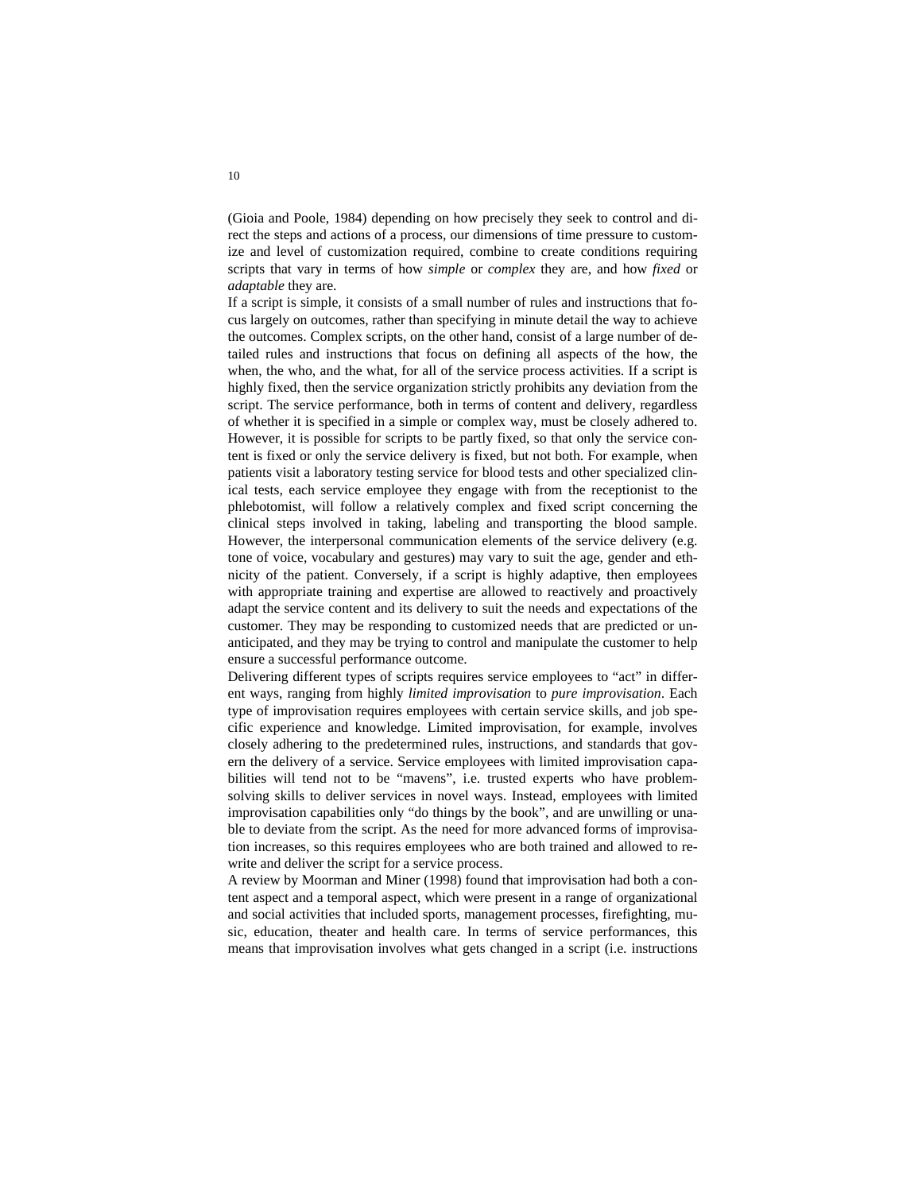(Gioia and Poole, 1984) depending on how precisely they seek to control and direct the steps and actions of a process, our dimensions of time pressure to customize and level of customization required, combine to create conditions requiring scripts that vary in terms of how *simple* or *complex* they are, and how *fixed* or *adaptable* they are.

If a script is simple, it consists of a small number of rules and instructions that focus largely on outcomes, rather than specifying in minute detail the way to achieve the outcomes. Complex scripts, on the other hand, consist of a large number of detailed rules and instructions that focus on defining all aspects of the how, the when, the who, and the what, for all of the service process activities. If a script is highly fixed, then the service organization strictly prohibits any deviation from the script. The service performance, both in terms of content and delivery, regardless of whether it is specified in a simple or complex way, must be closely adhered to. However, it is possible for scripts to be partly fixed, so that only the service content is fixed or only the service delivery is fixed, but not both. For example, when patients visit a laboratory testing service for blood tests and other specialized clinical tests, each service employee they engage with from the receptionist to the phlebotomist, will follow a relatively complex and fixed script concerning the clinical steps involved in taking, labeling and transporting the blood sample. However, the interpersonal communication elements of the service delivery (e.g. tone of voice, vocabulary and gestures) may vary to suit the age, gender and ethnicity of the patient. Conversely, if a script is highly adaptive, then employees with appropriate training and expertise are allowed to reactively and proactively adapt the service content and its delivery to suit the needs and expectations of the customer. They may be responding to customized needs that are predicted or unanticipated, and they may be trying to control and manipulate the customer to help ensure a successful performance outcome.

Delivering different types of scripts requires service employees to "act" in different ways, ranging from highly *limited improvisation* to *pure improvisation*. Each type of improvisation requires employees with certain service skills, and job specific experience and knowledge. Limited improvisation, for example, involves closely adhering to the predetermined rules, instructions, and standards that govern the delivery of a service. Service employees with limited improvisation capabilities will tend not to be "mavens", i.e. trusted experts who have problemsolving skills to deliver services in novel ways. Instead, employees with limited improvisation capabilities only "do things by the book", and are unwilling or unable to deviate from the script. As the need for more advanced forms of improvisation increases, so this requires employees who are both trained and allowed to rewrite and deliver the script for a service process.

A review by Moorman and Miner (1998) found that improvisation had both a content aspect and a temporal aspect, which were present in a range of organizational and social activities that included sports, management processes, firefighting, music, education, theater and health care. In terms of service performances, this means that improvisation involves what gets changed in a script (i.e. instructions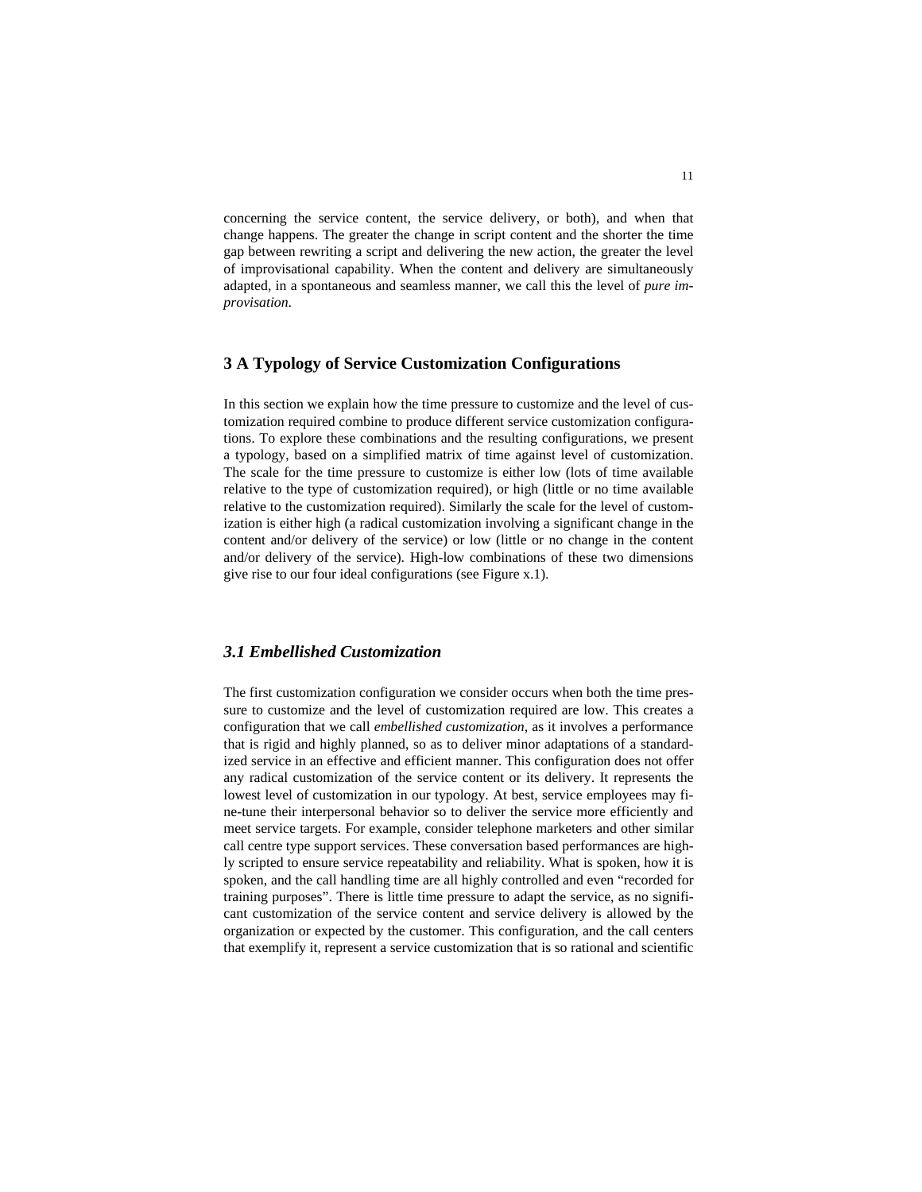concerning the service content, the service delivery, or both), and when that change happens. The greater the change in script content and the shorter the time gap between rewriting a script and delivering the new action, the greater the level of improvisational capability. When the content and delivery are simultaneously adapted, in a spontaneous and seamless manner, we call this the level of *pure improvisation*.

## **3 A Typology of Service Customization Configurations**

In this section we explain how the time pressure to customize and the level of customization required combine to produce different service customization configurations. To explore these combinations and the resulting configurations, we present a typology, based on a simplified matrix of time against level of customization. The scale for the time pressure to customize is either low (lots of time available relative to the type of customization required), or high (little or no time available relative to the customization required). Similarly the scale for the level of customization is either high (a radical customization involving a significant change in the content and/or delivery of the service) or low (little or no change in the content and/or delivery of the service). High-low combinations of these two dimensions give rise to our four ideal configurations (see Figure x.1).

#### *3.1 Embellished Customization*

The first customization configuration we consider occurs when both the time pressure to customize and the level of customization required are low. This creates a configuration that we call *embellished customization*, as it involves a performance that is rigid and highly planned, so as to deliver minor adaptations of a standardized service in an effective and efficient manner. This configuration does not offer any radical customization of the service content or its delivery. It represents the lowest level of customization in our typology. At best, service employees may fine-tune their interpersonal behavior so to deliver the service more efficiently and meet service targets. For example, consider telephone marketers and other similar call centre type support services. These conversation based performances are highly scripted to ensure service repeatability and reliability. What is spoken, how it is spoken, and the call handling time are all highly controlled and even "recorded for training purposes". There is little time pressure to adapt the service, as no significant customization of the service content and service delivery is allowed by the organization or expected by the customer. This configuration, and the call centers that exemplify it, represent a service customization that is so rational and scientific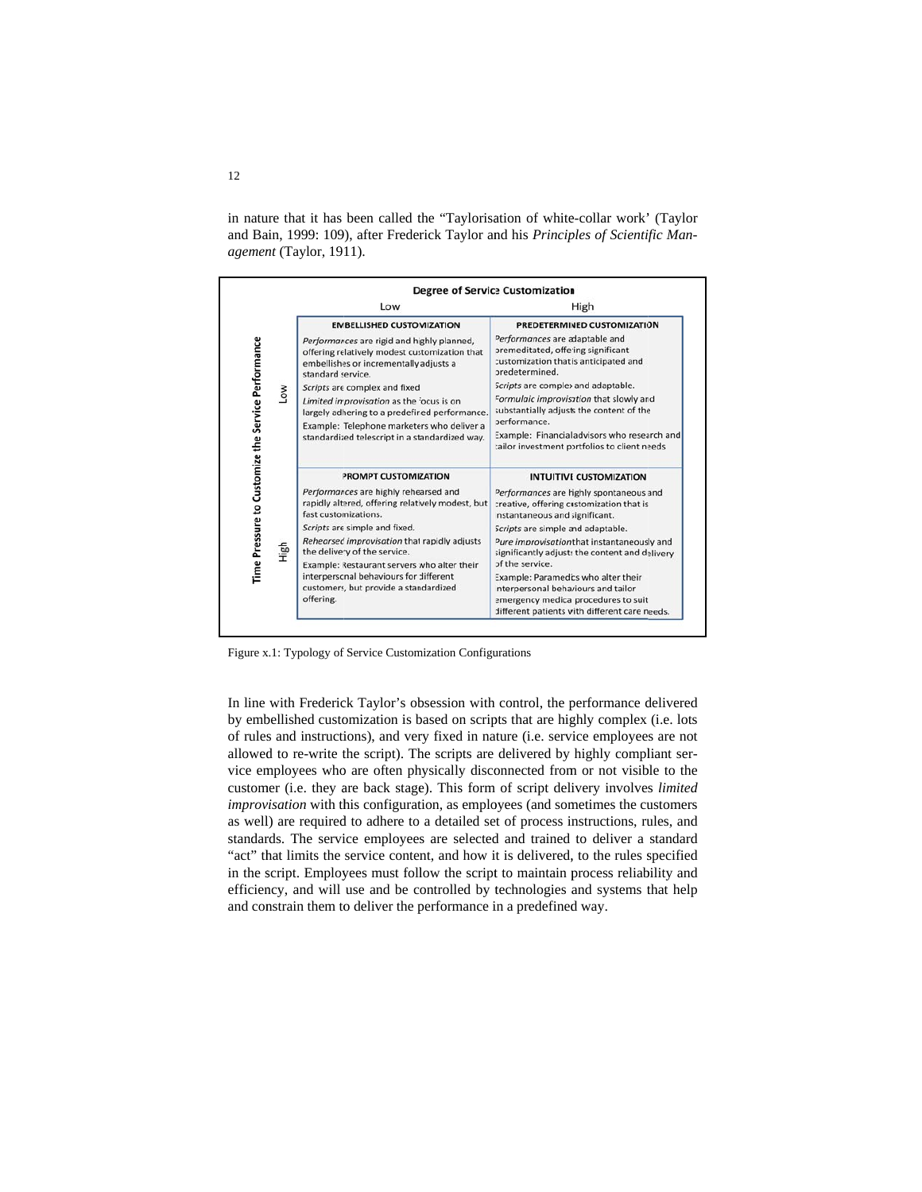in nature that it has been called the "Taylorisation of white-collar work' (Taylor and Bain, 1999: 109), after Frederick Taylor and his Principles of Scientific Man*agement* (Taylor, 1911).

|      | Low                                                                                                                                                        | High                                                                                                                                                               |
|------|------------------------------------------------------------------------------------------------------------------------------------------------------------|--------------------------------------------------------------------------------------------------------------------------------------------------------------------|
|      | <b>EMBELLISHED CUSTOMIZATION</b>                                                                                                                           | PREDETERMINED CUSTOMIZATION                                                                                                                                        |
| LOW  | Performances are rigid and highly planned,<br>offering relatively modest customization that<br>embellishes or incrementally adjusts a<br>standard service. | Performances are adaptable and<br>premeditated, offering significant<br>customization that is anticipated and<br>predetermined.                                    |
|      | Scripts are complex and fixed                                                                                                                              | Scripts are complex and adaptable.                                                                                                                                 |
|      | Limited improvisation as the focus is on<br>largely adhering to a predefired performance.<br>Example: Telephone marketers who deliver a                    | Formulaic improvisation that slowly and<br>substantially adjusts the content of the<br>performance.                                                                |
|      | standardized telescript in a standardized way.                                                                                                             | Example: Financial advisors who research and<br>tailor investment portfolios to client needs                                                                       |
|      | <b>PROMPT CUSTOMIZATION</b>                                                                                                                                | <b>INTUITIVE CUSTOMIZATION</b>                                                                                                                                     |
| High | Performances are highly rehearsed and<br>rapidly altered, offering relatively modest, but<br>fast customizations.                                          | Performances are highly spontaneous and<br>creative, offering customization that is<br>instantaneous and significant.                                              |
|      | Scripts are simple and fixed.                                                                                                                              | Scripts are simple and adaptable.                                                                                                                                  |
|      | Rehearsed improvisation that rapidly adjusts<br>the delivery of the service.                                                                               | Pure improvisation that instantaneously and<br>significantly adjusts the content and delivery                                                                      |
|      | Example: Restaurant servers who alter their                                                                                                                | of the service.                                                                                                                                                    |
|      | interpersonal behaviours for different<br>customers, but provide a standardized<br>offering.                                                               | Example: Paramedics who alter their<br>interpersonal behaviours and tailor<br>emergency medica procedures to suit<br>different patients with different care needs. |

Figure x.1: Typology of Service Customization Configurations

In line with Frederick Taylor's obsession with control, the performance delivered by embellished customization is based on scripts that are highly complex (i.e. lots of rules and instructions), and very fixed in nature (i.e. service employees are not allowed to re-write the script). The scripts are delivered by highly compliant service employees who are often physically disconnected from or not visible to the customer (i.e. they are back stage). This form of script delivery involves *limited improvisation* with this configuration, as employees (and sometimes the customers as well) are required to adhere to a detailed set of process instructions, rules, and standards. The service employees are selected and trained to deliver a standard "act" that limits the service content, and how it is delivered, to the rules specified in the script. Employees must follow the script to maintain process reliability and efficiency, and will use and be controlled by technologies and systems that help and constrain them to deliver the performance in a predefined way.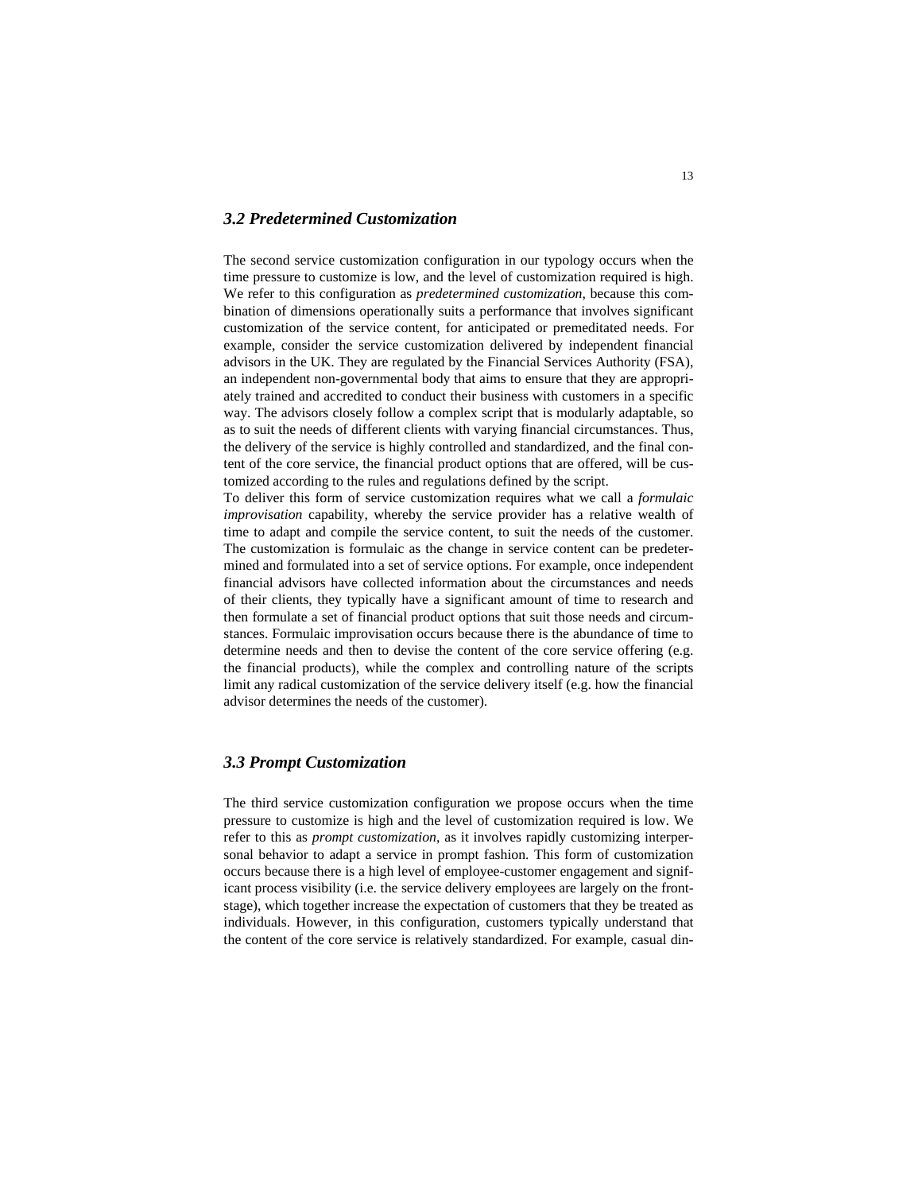## *3.2 Predetermined Customization*

The second service customization configuration in our typology occurs when the time pressure to customize is low, and the level of customization required is high. We refer to this configuration as *predetermined customization*, because this combination of dimensions operationally suits a performance that involves significant customization of the service content, for anticipated or premeditated needs. For example, consider the service customization delivered by independent financial advisors in the UK. They are regulated by the Financial Services Authority (FSA), an independent non-governmental body that aims to ensure that they are appropriately trained and accredited to conduct their business with customers in a specific way. The advisors closely follow a complex script that is modularly adaptable, so as to suit the needs of different clients with varying financial circumstances. Thus, the delivery of the service is highly controlled and standardized, and the final content of the core service, the financial product options that are offered, will be customized according to the rules and regulations defined by the script.

To deliver this form of service customization requires what we call a *formulaic improvisation* capability, whereby the service provider has a relative wealth of time to adapt and compile the service content, to suit the needs of the customer. The customization is formulaic as the change in service content can be predetermined and formulated into a set of service options. For example, once independent financial advisors have collected information about the circumstances and needs of their clients, they typically have a significant amount of time to research and then formulate a set of financial product options that suit those needs and circumstances. Formulaic improvisation occurs because there is the abundance of time to determine needs and then to devise the content of the core service offering (e.g. the financial products), while the complex and controlling nature of the scripts limit any radical customization of the service delivery itself (e.g. how the financial advisor determines the needs of the customer).

#### *3.3 Prompt Customization*

The third service customization configuration we propose occurs when the time pressure to customize is high and the level of customization required is low. We refer to this as *prompt customization*, as it involves rapidly customizing interpersonal behavior to adapt a service in prompt fashion. This form of customization occurs because there is a high level of employee-customer engagement and significant process visibility (i.e. the service delivery employees are largely on the frontstage), which together increase the expectation of customers that they be treated as individuals. However, in this configuration, customers typically understand that the content of the core service is relatively standardized. For example, casual din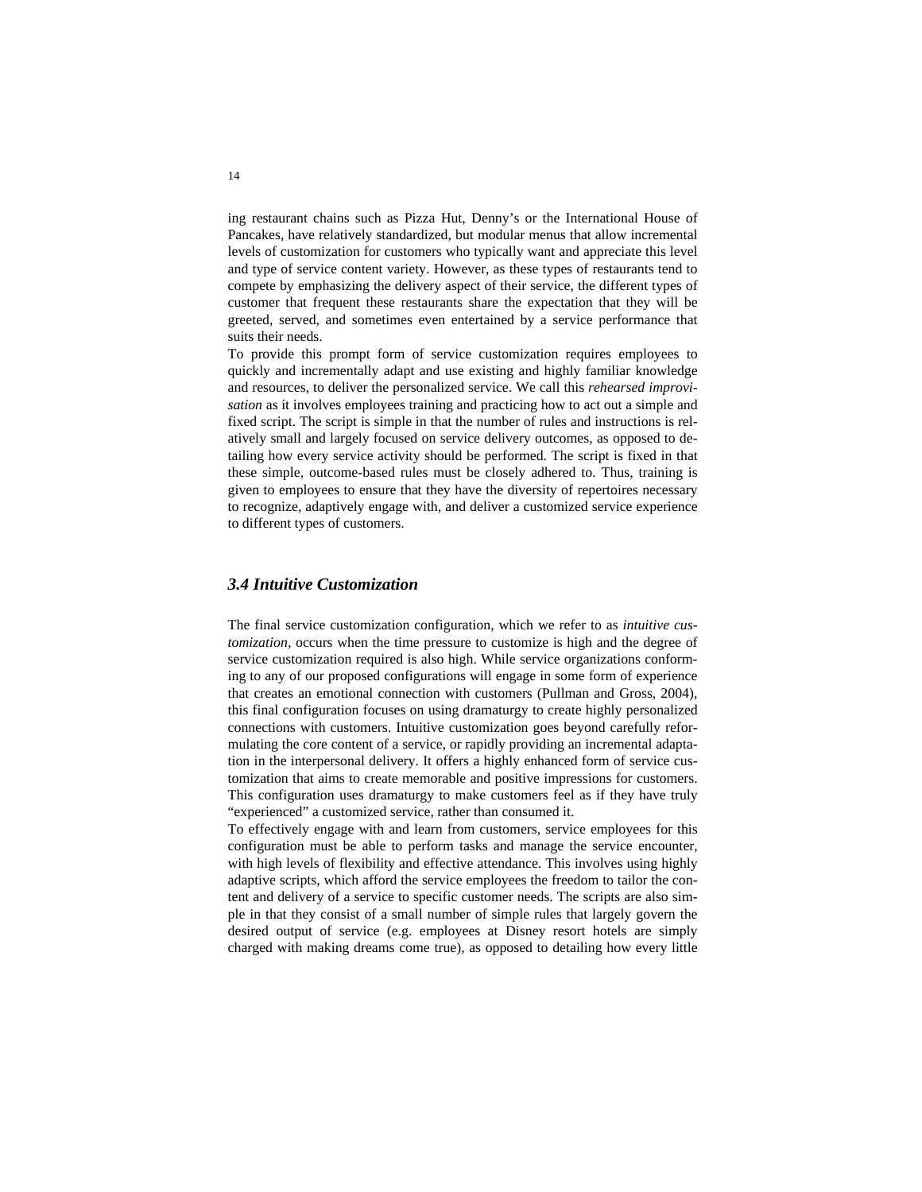ing restaurant chains such as Pizza Hut, Denny's or the International House of Pancakes, have relatively standardized, but modular menus that allow incremental levels of customization for customers who typically want and appreciate this level and type of service content variety. However, as these types of restaurants tend to compete by emphasizing the delivery aspect of their service, the different types of customer that frequent these restaurants share the expectation that they will be greeted, served, and sometimes even entertained by a service performance that suits their needs.

To provide this prompt form of service customization requires employees to quickly and incrementally adapt and use existing and highly familiar knowledge and resources, to deliver the personalized service. We call this *rehearsed improvisation* as it involves employees training and practicing how to act out a simple and fixed script. The script is simple in that the number of rules and instructions is relatively small and largely focused on service delivery outcomes, as opposed to detailing how every service activity should be performed. The script is fixed in that these simple, outcome-based rules must be closely adhered to. Thus, training is given to employees to ensure that they have the diversity of repertoires necessary to recognize, adaptively engage with, and deliver a customized service experience to different types of customers.

#### *3.4 Intuitive Customization*

The final service customization configuration, which we refer to as *intuitive customization, occurs when the time pressure to customize is high and the degree of* service customization required is also high. While service organizations conforming to any of our proposed configurations will engage in some form of experience that creates an emotional connection with customers (Pullman and Gross, 2004), this final configuration focuses on using dramaturgy to create highly personalized connections with customers. Intuitive customization goes beyond carefully reformulating the core content of a service, or rapidly providing an incremental adaptation in the interpersonal delivery. It offers a highly enhanced form of service customization that aims to create memorable and positive impressions for customers. This configuration uses dramaturgy to make customers feel as if they have truly "experienced" a customized service, rather than consumed it.

To effectively engage with and learn from customers, service employees for this configuration must be able to perform tasks and manage the service encounter, with high levels of flexibility and effective attendance. This involves using highly adaptive scripts, which afford the service employees the freedom to tailor the content and delivery of a service to specific customer needs. The scripts are also simple in that they consist of a small number of simple rules that largely govern the desired output of service (e.g. employees at Disney resort hotels are simply charged with making dreams come true), as opposed to detailing how every little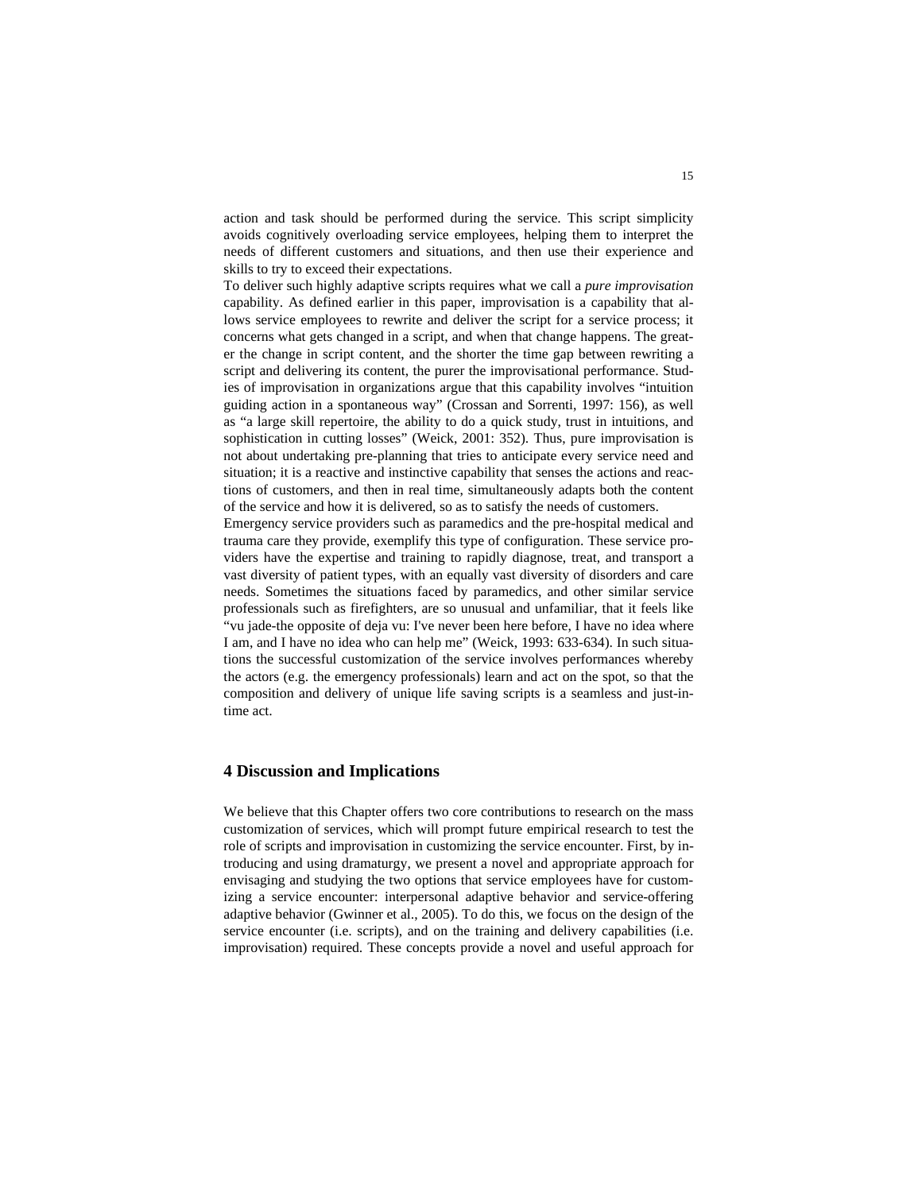action and task should be performed during the service. This script simplicity avoids cognitively overloading service employees, helping them to interpret the needs of different customers and situations, and then use their experience and skills to try to exceed their expectations.

To deliver such highly adaptive scripts requires what we call a *pure improvisation* capability. As defined earlier in this paper, improvisation is a capability that allows service employees to rewrite and deliver the script for a service process; it concerns what gets changed in a script, and when that change happens. The greater the change in script content, and the shorter the time gap between rewriting a script and delivering its content, the purer the improvisational performance. Studies of improvisation in organizations argue that this capability involves "intuition guiding action in a spontaneous way" (Crossan and Sorrenti, 1997: 156), as well as "a large skill repertoire, the ability to do a quick study, trust in intuitions, and sophistication in cutting losses" (Weick, 2001: 352). Thus, pure improvisation is not about undertaking pre-planning that tries to anticipate every service need and situation; it is a reactive and instinctive capability that senses the actions and reactions of customers, and then in real time, simultaneously adapts both the content of the service and how it is delivered, so as to satisfy the needs of customers.

Emergency service providers such as paramedics and the pre-hospital medical and trauma care they provide, exemplify this type of configuration. These service providers have the expertise and training to rapidly diagnose, treat, and transport a vast diversity of patient types, with an equally vast diversity of disorders and care needs. Sometimes the situations faced by paramedics, and other similar service professionals such as firefighters, are so unusual and unfamiliar, that it feels like "vu jade-the opposite of deja vu: I've never been here before, I have no idea where I am, and I have no idea who can help me" (Weick, 1993: 633-634). In such situations the successful customization of the service involves performances whereby the actors (e.g. the emergency professionals) learn and act on the spot, so that the composition and delivery of unique life saving scripts is a seamless and just-intime act.

#### **4 Discussion and Implications**

We believe that this Chapter offers two core contributions to research on the mass customization of services, which will prompt future empirical research to test the role of scripts and improvisation in customizing the service encounter. First, by introducing and using dramaturgy, we present a novel and appropriate approach for envisaging and studying the two options that service employees have for customizing a service encounter: interpersonal adaptive behavior and service-offering adaptive behavior (Gwinner et al., 2005). To do this, we focus on the design of the service encounter (i.e. scripts), and on the training and delivery capabilities (i.e. improvisation) required. These concepts provide a novel and useful approach for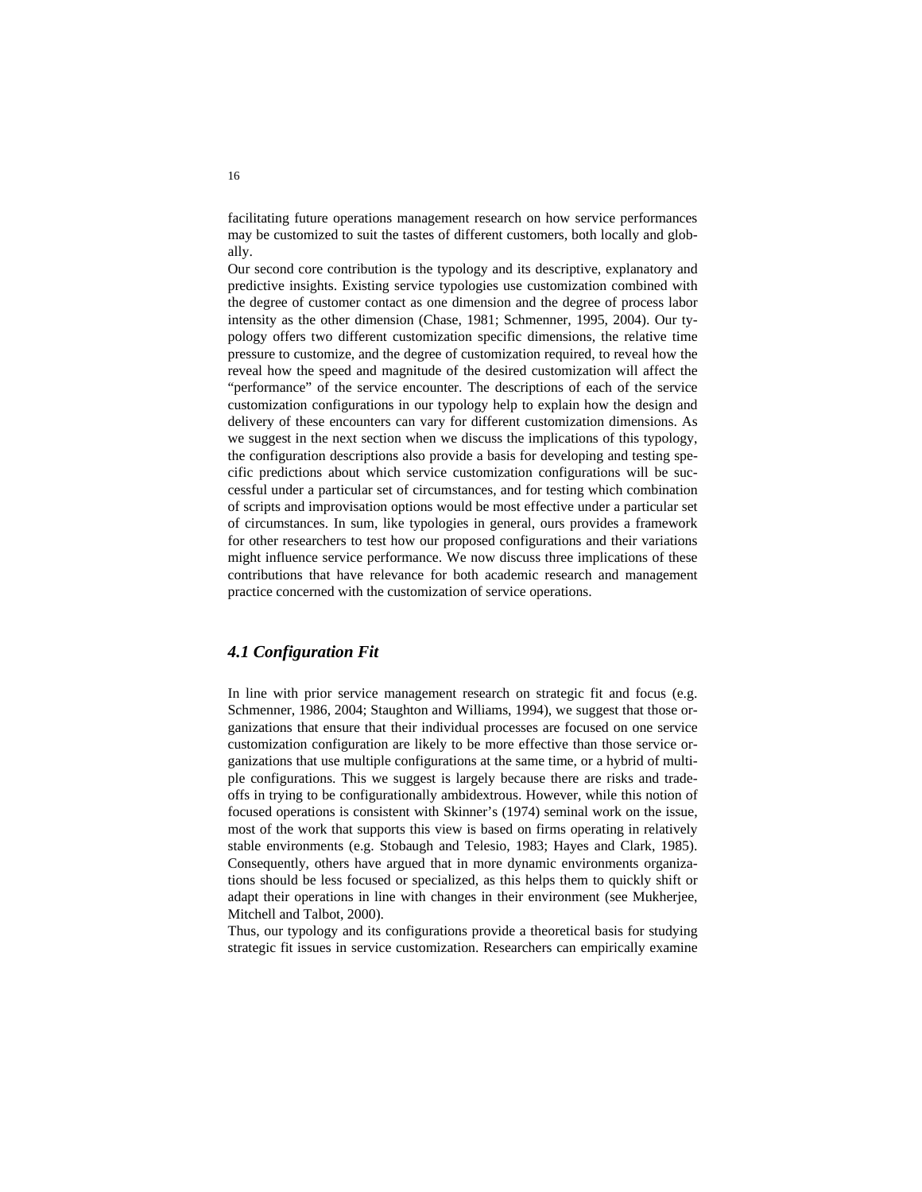facilitating future operations management research on how service performances may be customized to suit the tastes of different customers, both locally and globally.

Our second core contribution is the typology and its descriptive, explanatory and predictive insights. Existing service typologies use customization combined with the degree of customer contact as one dimension and the degree of process labor intensity as the other dimension (Chase, 1981; Schmenner, 1995, 2004). Our typology offers two different customization specific dimensions, the relative time pressure to customize, and the degree of customization required, to reveal how the reveal how the speed and magnitude of the desired customization will affect the "performance" of the service encounter. The descriptions of each of the service customization configurations in our typology help to explain how the design and delivery of these encounters can vary for different customization dimensions. As we suggest in the next section when we discuss the implications of this typology, the configuration descriptions also provide a basis for developing and testing specific predictions about which service customization configurations will be successful under a particular set of circumstances, and for testing which combination of scripts and improvisation options would be most effective under a particular set of circumstances. In sum, like typologies in general, ours provides a framework for other researchers to test how our proposed configurations and their variations might influence service performance. We now discuss three implications of these contributions that have relevance for both academic research and management practice concerned with the customization of service operations.

#### *4.1 Configuration Fit*

In line with prior service management research on strategic fit and focus (e.g. Schmenner, 1986, 2004; Staughton and Williams, 1994), we suggest that those organizations that ensure that their individual processes are focused on one service customization configuration are likely to be more effective than those service organizations that use multiple configurations at the same time, or a hybrid of multiple configurations. This we suggest is largely because there are risks and tradeoffs in trying to be configurationally ambidextrous. However, while this notion of focused operations is consistent with Skinner's (1974) seminal work on the issue, most of the work that supports this view is based on firms operating in relatively stable environments (e.g. Stobaugh and Telesio, 1983; Hayes and Clark, 1985). Consequently, others have argued that in more dynamic environments organizations should be less focused or specialized, as this helps them to quickly shift or adapt their operations in line with changes in their environment (see Mukherjee, Mitchell and Talbot, 2000).

Thus, our typology and its configurations provide a theoretical basis for studying strategic fit issues in service customization. Researchers can empirically examine

16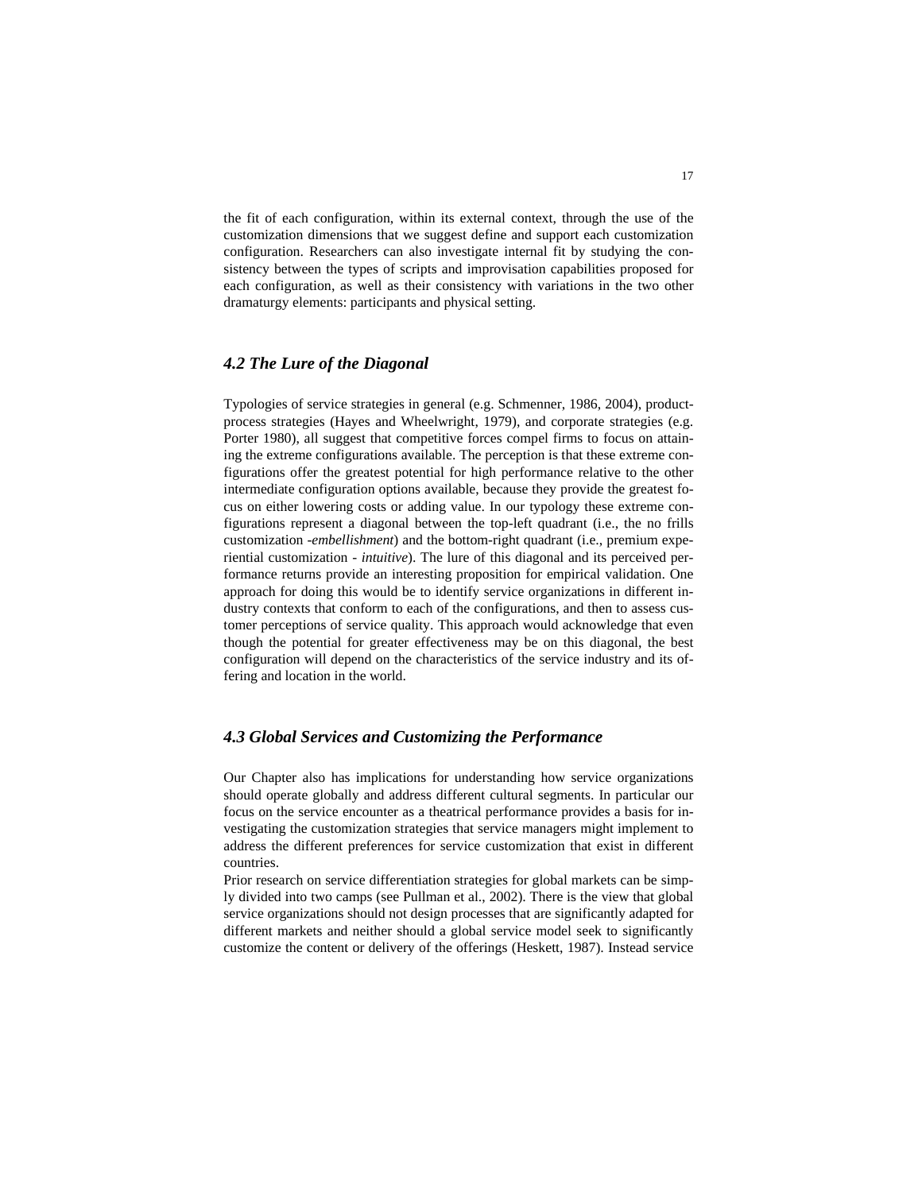the fit of each configuration, within its external context, through the use of the customization dimensions that we suggest define and support each customization configuration. Researchers can also investigate internal fit by studying the consistency between the types of scripts and improvisation capabilities proposed for each configuration, as well as their consistency with variations in the two other dramaturgy elements: participants and physical setting.

### *4.2 The Lure of the Diagonal*

Typologies of service strategies in general (e.g. Schmenner, 1986, 2004), productprocess strategies (Hayes and Wheelwright, 1979), and corporate strategies (e.g. Porter 1980), all suggest that competitive forces compel firms to focus on attaining the extreme configurations available. The perception is that these extreme configurations offer the greatest potential for high performance relative to the other intermediate configuration options available, because they provide the greatest focus on either lowering costs or adding value. In our typology these extreme configurations represent a diagonal between the top-left quadrant (i.e., the no frills customization -*embellishment*) and the bottom-right quadrant (i.e., premium experiential customization - *intuitive*). The lure of this diagonal and its perceived performance returns provide an interesting proposition for empirical validation. One approach for doing this would be to identify service organizations in different industry contexts that conform to each of the configurations, and then to assess customer perceptions of service quality. This approach would acknowledge that even though the potential for greater effectiveness may be on this diagonal, the best configuration will depend on the characteristics of the service industry and its offering and location in the world.

### *4.3 Global Services and Customizing the Performance*

Our Chapter also has implications for understanding how service organizations should operate globally and address different cultural segments. In particular our focus on the service encounter as a theatrical performance provides a basis for investigating the customization strategies that service managers might implement to address the different preferences for service customization that exist in different countries.

Prior research on service differentiation strategies for global markets can be simply divided into two camps (see Pullman et al., 2002). There is the view that global service organizations should not design processes that are significantly adapted for different markets and neither should a global service model seek to significantly customize the content or delivery of the offerings (Heskett, 1987). Instead service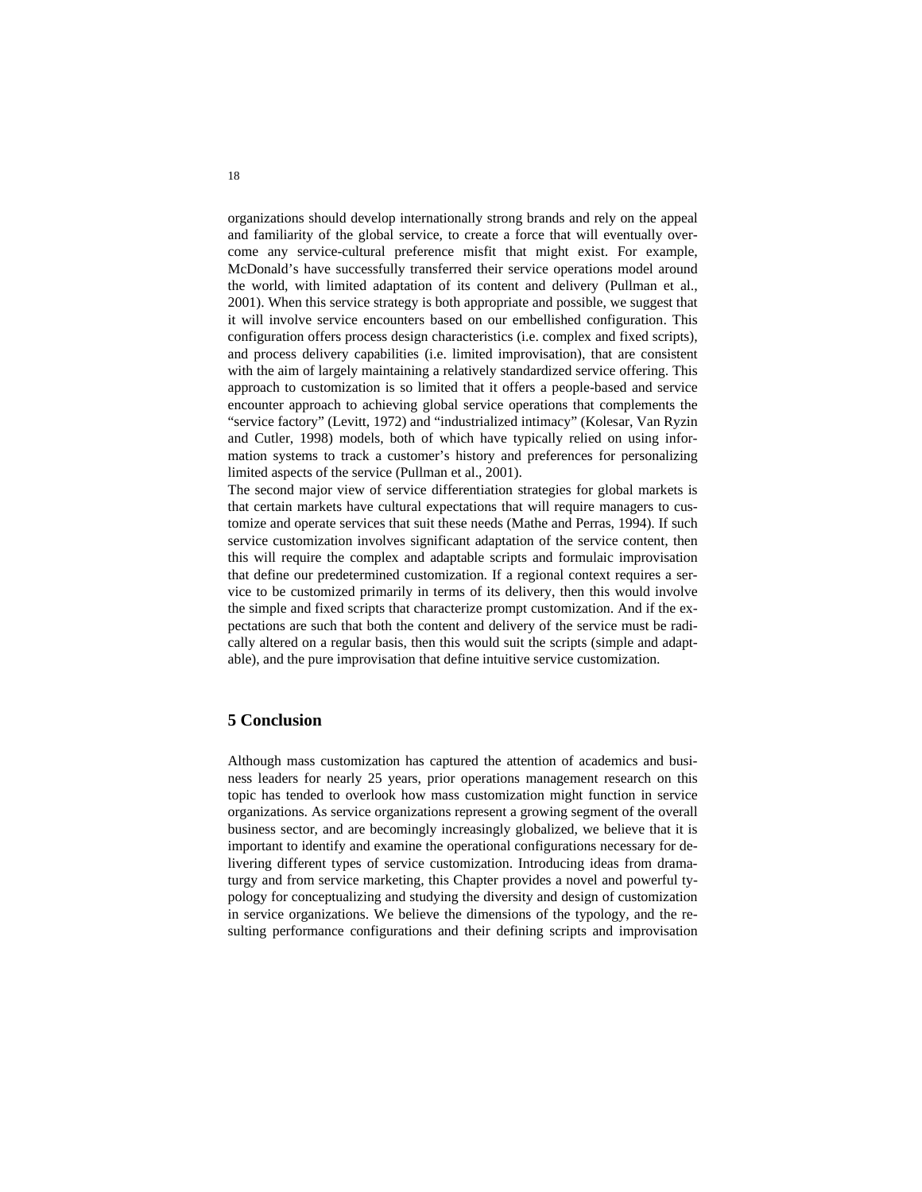organizations should develop internationally strong brands and rely on the appeal and familiarity of the global service, to create a force that will eventually overcome any service-cultural preference misfit that might exist. For example, McDonald's have successfully transferred their service operations model around the world, with limited adaptation of its content and delivery (Pullman et al., 2001). When this service strategy is both appropriate and possible, we suggest that it will involve service encounters based on our embellished configuration. This configuration offers process design characteristics (i.e. complex and fixed scripts), and process delivery capabilities (i.e. limited improvisation), that are consistent with the aim of largely maintaining a relatively standardized service offering. This approach to customization is so limited that it offers a people-based and service encounter approach to achieving global service operations that complements the "service factory" (Levitt, 1972) and "industrialized intimacy" (Kolesar, Van Ryzin and Cutler, 1998) models, both of which have typically relied on using information systems to track a customer's history and preferences for personalizing limited aspects of the service (Pullman et al., 2001).

The second major view of service differentiation strategies for global markets is that certain markets have cultural expectations that will require managers to customize and operate services that suit these needs (Mathe and Perras, 1994). If such service customization involves significant adaptation of the service content, then this will require the complex and adaptable scripts and formulaic improvisation that define our predetermined customization. If a regional context requires a service to be customized primarily in terms of its delivery, then this would involve the simple and fixed scripts that characterize prompt customization. And if the expectations are such that both the content and delivery of the service must be radically altered on a regular basis, then this would suit the scripts (simple and adaptable), and the pure improvisation that define intuitive service customization.

#### **5 Conclusion**

Although mass customization has captured the attention of academics and business leaders for nearly 25 years, prior operations management research on this topic has tended to overlook how mass customization might function in service organizations. As service organizations represent a growing segment of the overall business sector, and are becomingly increasingly globalized, we believe that it is important to identify and examine the operational configurations necessary for delivering different types of service customization. Introducing ideas from dramaturgy and from service marketing, this Chapter provides a novel and powerful typology for conceptualizing and studying the diversity and design of customization in service organizations. We believe the dimensions of the typology, and the resulting performance configurations and their defining scripts and improvisation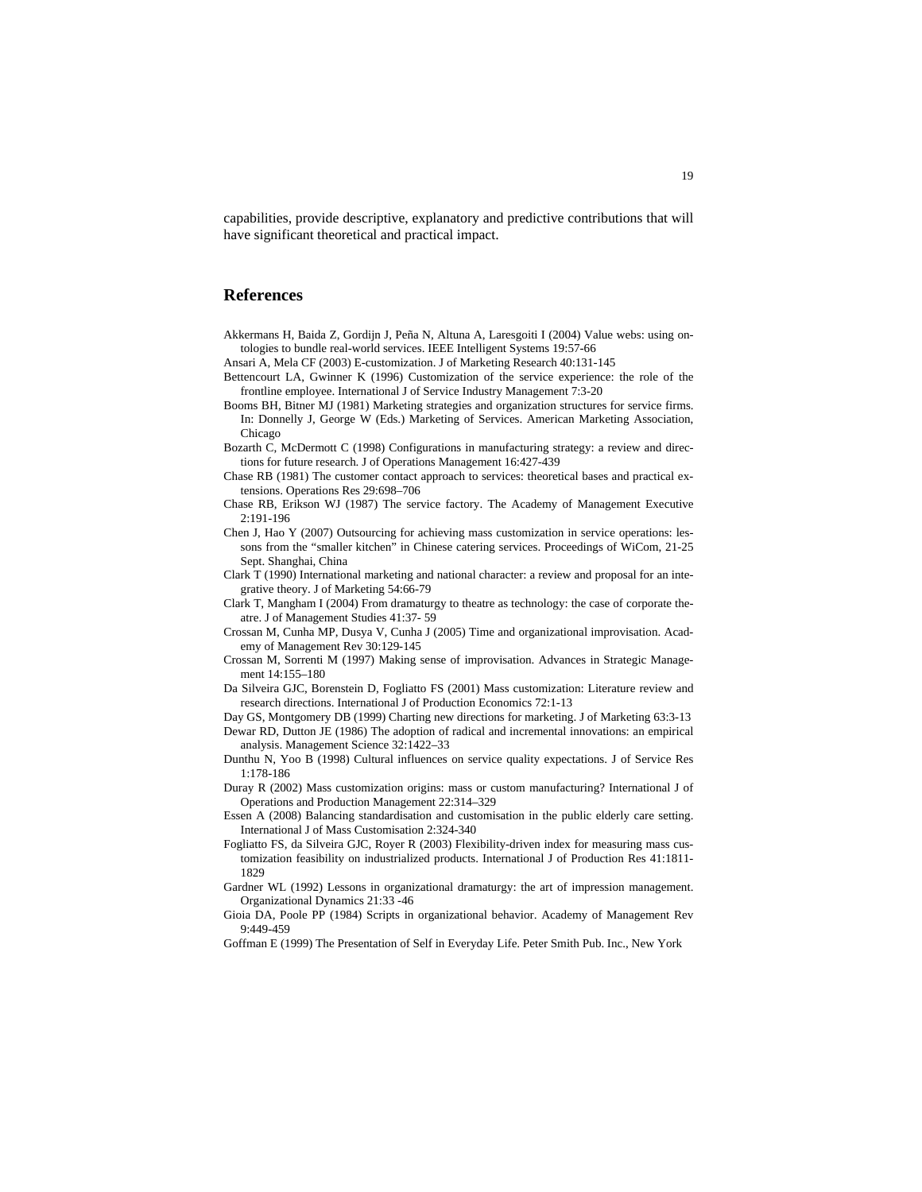capabilities, provide descriptive, explanatory and predictive contributions that will have significant theoretical and practical impact.

## **References**

- Akkermans H, Baida Z, Gordijn J, Peña N, Altuna A, Laresgoiti I (2004) Value webs: using ontologies to bundle real-world services. IEEE Intelligent Systems 19:57-66
- Ansari A, Mela CF (2003) E-customization. J of Marketing Research 40:131-145
- Bettencourt LA, Gwinner K (1996) Customization of the service experience: the role of the frontline employee. International J of Service Industry Management 7:3-20
- Booms BH, Bitner MJ (1981) Marketing strategies and organization structures for service firms. In: Donnelly J, George W (Eds.) Marketing of Services. American Marketing Association, Chicago
- Bozarth C, McDermott C (1998) Configurations in manufacturing strategy: a review and directions for future research. J of Operations Management 16:427-439
- Chase RB (1981) The customer contact approach to services: theoretical bases and practical extensions. Operations Res 29:698–706
- Chase RB, Erikson WJ (1987) The service factory. The Academy of Management Executive 2:191-196
- Chen J, Hao Y (2007) Outsourcing for achieving mass customization in service operations: lessons from the "smaller kitchen" in Chinese catering services. Proceedings of WiCom, 21-25 Sept. Shanghai, China
- Clark T (1990) International marketing and national character: a review and proposal for an integrative theory. J of Marketing 54:66-79
- Clark T, Mangham I (2004) From dramaturgy to theatre as technology: the case of corporate theatre. J of Management Studies 41:37- 59
- Crossan M, Cunha MP, Dusya V, Cunha J (2005) Time and organizational improvisation. Academy of Management Rev 30:129-145
- Crossan M, Sorrenti M (1997) Making sense of improvisation. Advances in Strategic Management 14:155–180
- Da Silveira GJC, Borenstein D, Fogliatto FS (2001) Mass customization: Literature review and research directions. International J of Production Economics 72:1-13

Day GS, Montgomery DB (1999) Charting new directions for marketing. J of Marketing 63:3-13 Dewar RD, Dutton JE (1986) The adoption of radical and incremental innovations: an empirical analysis. Management Science 32:1422–33

- Dunthu N, Yoo B (1998) Cultural influences on service quality expectations. J of Service Res 1:178-186
- Duray R (2002) Mass customization origins: mass or custom manufacturing? International J of Operations and Production Management 22:314–329
- Essen A (2008) Balancing standardisation and customisation in the public elderly care setting. International J of Mass Customisation 2:324-340
- Fogliatto FS, da Silveira GJC, Royer R (2003) Flexibility-driven index for measuring mass customization feasibility on industrialized products. International J of Production Res 41:1811- 1829
- Gardner WL (1992) Lessons in organizational dramaturgy: the art of impression management. Organizational Dynamics 21:33 -46
- Gioia DA, Poole PP (1984) Scripts in organizational behavior. Academy of Management Rev 9:449-459
- Goffman E (1999) The Presentation of Self in Everyday Life. Peter Smith Pub. Inc., New York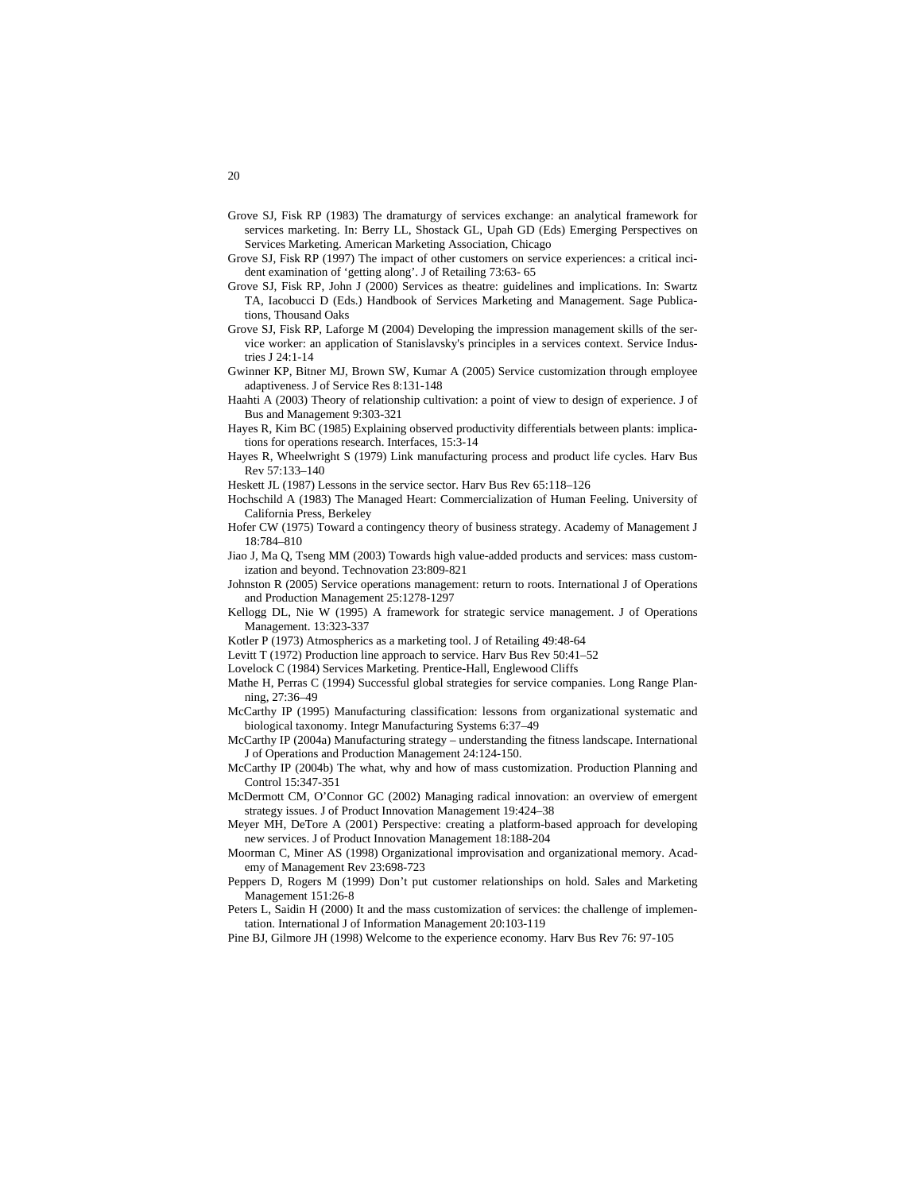- Grove SJ, Fisk RP (1983) The dramaturgy of services exchange: an analytical framework for services marketing. In: Berry LL, Shostack GL, Upah GD (Eds) Emerging Perspectives on Services Marketing. American Marketing Association, Chicago
- Grove SJ, Fisk RP (1997) The impact of other customers on service experiences: a critical incident examination of 'getting along'. J of Retailing 73:63- 65
- Grove SJ, Fisk RP, John J (2000) Services as theatre: guidelines and implications. In: Swartz TA, Iacobucci D (Eds.) Handbook of Services Marketing and Management. Sage Publications, Thousand Oaks
- Grove SJ, Fisk RP, Laforge M (2004) Developing the impression management skills of the service worker: an application of Stanislavsky's principles in a services context. Service Industries J 24:1-14
- Gwinner KP, Bitner MJ, Brown SW, Kumar A (2005) Service customization through employee adaptiveness. J of Service Res 8:131-148
- Haahti A (2003) Theory of relationship cultivation: a point of view to design of experience. J of Bus and Management 9:303-321
- Hayes R, Kim BC (1985) Explaining observed productivity differentials between plants: implications for operations research. Interfaces, 15:3-14
- Hayes R, Wheelwright S (1979) Link manufacturing process and product life cycles. Harv Bus Rev 57:133–140
- Heskett JL (1987) Lessons in the service sector. Harv Bus Rev 65:118–126
- Hochschild A (1983) The Managed Heart: Commercialization of Human Feeling. University of California Press, Berkeley
- Hofer CW (1975) Toward a contingency theory of business strategy. Academy of Management J 18:784–810
- Jiao J, Ma Q, Tseng MM (2003) Towards high value-added products and services: mass customization and beyond. Technovation 23:809-821
- Johnston R (2005) Service operations management: return to roots. International J of Operations and Production Management 25:1278-1297
- Kellogg DL, Nie W (1995) A framework for strategic service management. J of Operations Management. 13:323-337
- Kotler P (1973) Atmospherics as a marketing tool. J of Retailing 49:48-64
- Levitt T (1972) Production line approach to service. Harv Bus Rev 50:41–52
- Lovelock C (1984) Services Marketing. Prentice-Hall, Englewood Cliffs
- Mathe H, Perras C (1994) Successful global strategies for service companies. Long Range Planning, 27:36–49
- McCarthy IP (1995) Manufacturing classification: lessons from organizational systematic and biological taxonomy. Integr Manufacturing Systems 6:37–49
- McCarthy IP (2004a) Manufacturing strategy understanding the fitness landscape. International J of Operations and Production Management 24:124-150.
- McCarthy IP (2004b) The what, why and how of mass customization. Production Planning and Control 15:347-351
- McDermott CM, O'Connor GC (2002) Managing radical innovation: an overview of emergent strategy issues. J of Product Innovation Management 19:424–38
- Meyer MH, DeTore A (2001) Perspective: creating a platform-based approach for developing new services. J of Product Innovation Management 18:188-204
- Moorman C, Miner AS (1998) Organizational improvisation and organizational memory. Academy of Management Rev 23:698-723
- Peppers D, Rogers M (1999) Don't put customer relationships on hold. Sales and Marketing Management 151:26-8
- Peters L, Saidin H (2000) It and the mass customization of services: the challenge of implementation. International J of Information Management 20:103-119
- Pine BJ, Gilmore JH (1998) Welcome to the experience economy. Harv Bus Rev 76: 97-105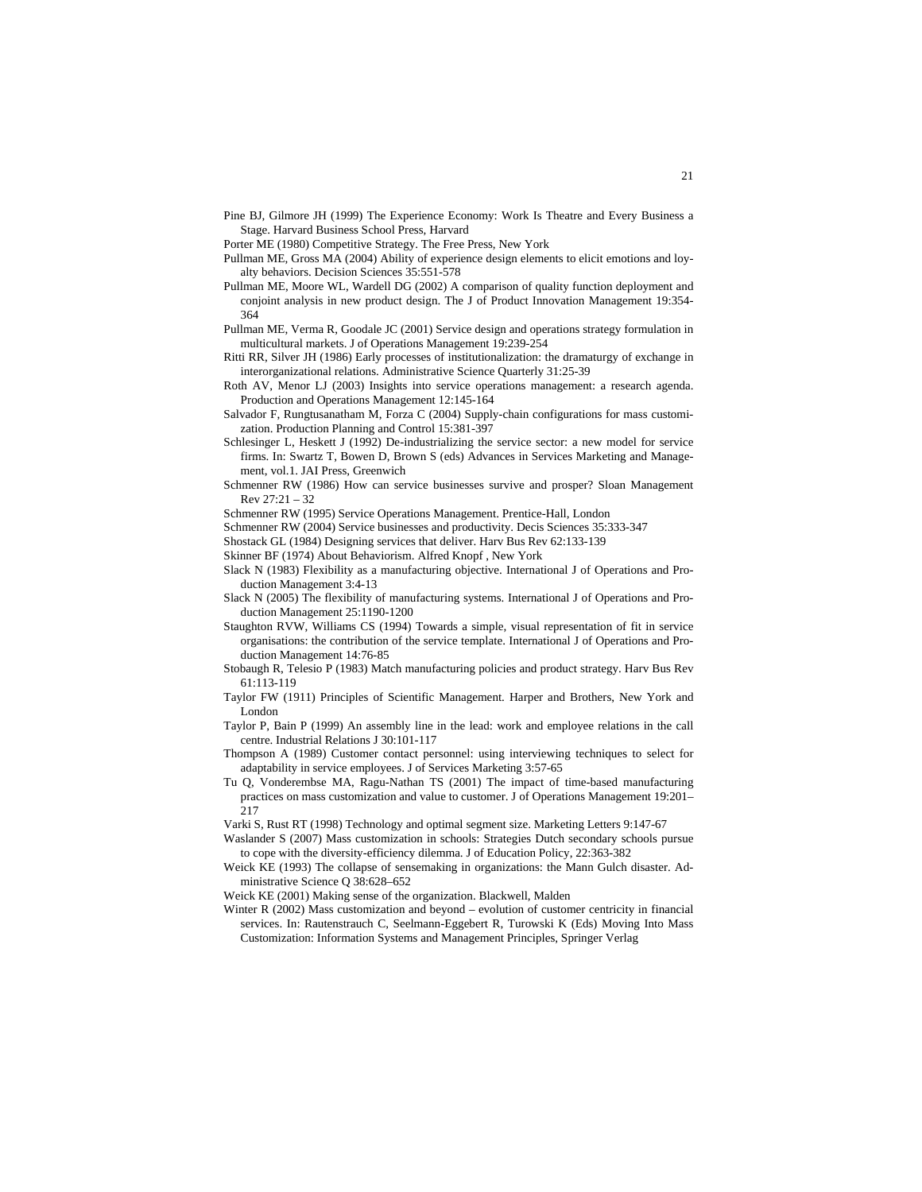Pine BJ, Gilmore JH (1999) The Experience Economy: Work Is Theatre and Every Business a Stage. Harvard Business School Press, Harvard

Porter ME (1980) Competitive Strategy. The Free Press, New York

- Pullman ME, Gross MA (2004) Ability of experience design elements to elicit emotions and loyalty behaviors. Decision Sciences 35:551-578
- Pullman ME, Moore WL, Wardell DG (2002) A comparison of quality function deployment and conjoint analysis in new product design. The J of Product Innovation Management 19:354- 364
- Pullman ME, Verma R, Goodale JC (2001) Service design and operations strategy formulation in multicultural markets. J of Operations Management 19:239-254
- Ritti RR, Silver JH (1986) Early processes of institutionalization: the dramaturgy of exchange in interorganizational relations. Administrative Science Quarterly 31:25-39
- Roth AV, Menor LJ (2003) Insights into service operations management: a research agenda. Production and Operations Management 12:145-164
- Salvador F, Rungtusanatham M, Forza C (2004) Supply-chain configurations for mass customization. Production Planning and Control 15:381-397
- Schlesinger L, Heskett J (1992) De-industrializing the service sector: a new model for service firms. In: Swartz T, Bowen D, Brown S (eds) Advances in Services Marketing and Management, vol.1. JAI Press, Greenwich
- Schmenner RW (1986) How can service businesses survive and prosper? Sloan Management Rev 27:21 – 32
- Schmenner RW (1995) Service Operations Management. Prentice-Hall, London
- Schmenner RW (2004) Service businesses and productivity. Decis Sciences 35:333-347
- Shostack GL (1984) Designing services that deliver. Harv Bus Rev 62:133-139
- Skinner BF (1974) About Behaviorism. Alfred Knopf , New York
- Slack N (1983) Flexibility as a manufacturing objective. International J of Operations and Production Management 3:4-13
- Slack N (2005) The flexibility of manufacturing systems. International J of Operations and Production Management 25:1190-1200
- Staughton RVW, Williams CS (1994) Towards a simple, visual representation of fit in service organisations: the contribution of the service template. International J of Operations and Production Management 14:76-85
- Stobaugh R, Telesio P (1983) Match manufacturing policies and product strategy. Harv Bus Rev 61:113-119
- Taylor FW (1911) Principles of Scientific Management. Harper and Brothers, New York and London
- Taylor P, Bain P (1999) An assembly line in the lead: work and employee relations in the call centre. Industrial Relations J 30:101-117
- Thompson A (1989) Customer contact personnel: using interviewing techniques to select for adaptability in service employees. J of Services Marketing 3:57-65
- Tu Q, Vonderembse MA, Ragu-Nathan TS (2001) The impact of time-based manufacturing practices on mass customization and value to customer. J of Operations Management 19:201– 217
- Varki S, Rust RT (1998) Technology and optimal segment size. Marketing Letters 9:147-67
- Waslander S (2007) Mass customization in schools: Strategies Dutch secondary schools pursue to cope with the diversity-efficiency dilemma. J of Education Policy, 22:363-382
- Weick KE (1993) The collapse of sensemaking in organizations: the Mann Gulch disaster. Administrative Science Q 38:628–652
- Weick KE (2001) Making sense of the organization. Blackwell, Malden
- Winter R (2002) Mass customization and beyond evolution of customer centricity in financial services. In: Rautenstrauch C, Seelmann-Eggebert R, Turowski K (Eds) Moving Into Mass Customization: Information Systems and Management Principles, Springer Verlag